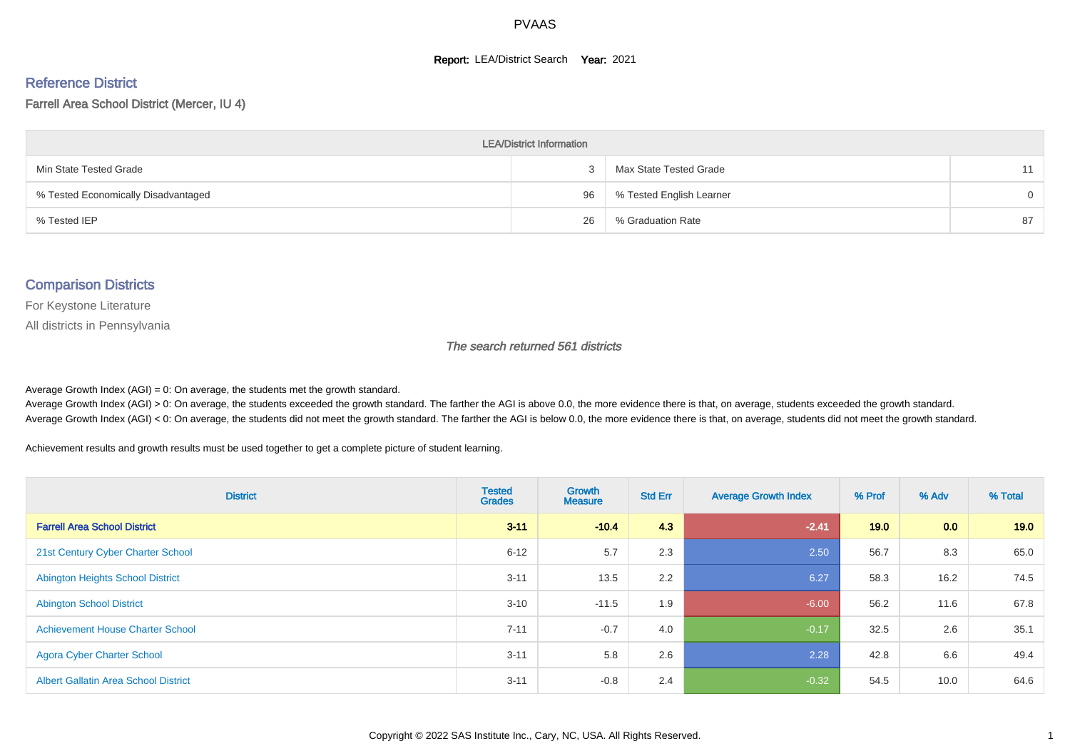#### **Report: LEA/District Search Year: 2021**

# Reference District

#### Farrell Area School District (Mercer, IU 4)

| <b>LEA/District Information</b>     |    |                          |          |  |  |  |  |  |  |  |
|-------------------------------------|----|--------------------------|----------|--|--|--|--|--|--|--|
| Min State Tested Grade              |    | Max State Tested Grade   | 11       |  |  |  |  |  |  |  |
| % Tested Economically Disadvantaged | 96 | % Tested English Learner | $\Omega$ |  |  |  |  |  |  |  |
| % Tested IEP                        | 26 | % Graduation Rate        | 87       |  |  |  |  |  |  |  |

#### Comparison Districts

For Keystone Literature

All districts in Pennsylvania

The search returned 561 districts

Average Growth Index  $(AGI) = 0$ : On average, the students met the growth standard.

Average Growth Index (AGI) > 0: On average, the students exceeded the growth standard. The farther the AGI is above 0.0, the more evidence there is that, on average, students exceeded the growth standard. Average Growth Index (AGI) < 0: On average, the students did not meet the growth standard. The farther the AGI is below 0.0, the more evidence there is that, on average, students did not meet the growth standard.

Achievement results and growth results must be used together to get a complete picture of student learning.

| <b>District</b>                             | <b>Tested</b><br><b>Grades</b> | <b>Growth</b><br><b>Measure</b> | <b>Std Err</b> | <b>Average Growth Index</b> | % Prof | % Adv | % Total |
|---------------------------------------------|--------------------------------|---------------------------------|----------------|-----------------------------|--------|-------|---------|
| <b>Farrell Area School District</b>         | $3 - 11$                       | $-10.4$                         | 4.3            | $-2.41$                     | 19.0   | 0.0   | 19.0    |
| 21st Century Cyber Charter School           | $6 - 12$                       | 5.7                             | 2.3            | 2.50                        | 56.7   | 8.3   | 65.0    |
| <b>Abington Heights School District</b>     | $3 - 11$                       | 13.5                            | 2.2            | 6.27                        | 58.3   | 16.2  | 74.5    |
| <b>Abington School District</b>             | $3 - 10$                       | $-11.5$                         | 1.9            | $-6.00$                     | 56.2   | 11.6  | 67.8    |
| <b>Achievement House Charter School</b>     | $7 - 11$                       | $-0.7$                          | 4.0            | $-0.17$                     | 32.5   | 2.6   | 35.1    |
| <b>Agora Cyber Charter School</b>           | $3 - 11$                       | 5.8                             | 2.6            | 2.28                        | 42.8   | 6.6   | 49.4    |
| <b>Albert Gallatin Area School District</b> | $3 - 11$                       | $-0.8$                          | 2.4            | $-0.32$                     | 54.5   | 10.0  | 64.6    |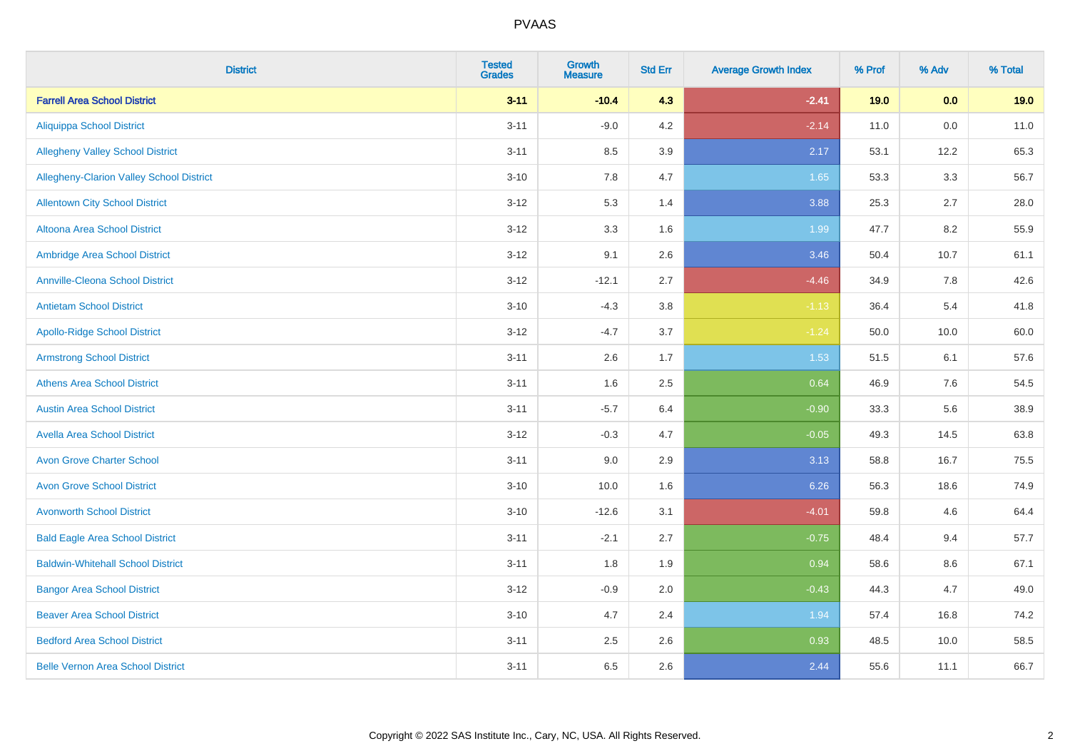| <b>District</b>                          | <b>Tested</b><br><b>Grades</b> | <b>Growth</b><br><b>Measure</b> | <b>Std Err</b> | <b>Average Growth Index</b> | % Prof | % Adv | % Total |
|------------------------------------------|--------------------------------|---------------------------------|----------------|-----------------------------|--------|-------|---------|
| <b>Farrell Area School District</b>      | $3 - 11$                       | $-10.4$                         | 4.3            | $-2.41$                     | 19.0   | 0.0   | 19.0    |
| <b>Aliquippa School District</b>         | $3 - 11$                       | $-9.0$                          | 4.2            | $-2.14$                     | 11.0   | 0.0   | 11.0    |
| <b>Allegheny Valley School District</b>  | $3 - 11$                       | 8.5                             | 3.9            | 2.17                        | 53.1   | 12.2  | 65.3    |
| Allegheny-Clarion Valley School District | $3 - 10$                       | 7.8                             | 4.7            | 1.65                        | 53.3   | 3.3   | 56.7    |
| <b>Allentown City School District</b>    | $3 - 12$                       | 5.3                             | 1.4            | 3.88                        | 25.3   | 2.7   | 28.0    |
| <b>Altoona Area School District</b>      | $3 - 12$                       | 3.3                             | 1.6            | 1.99                        | 47.7   | 8.2   | 55.9    |
| Ambridge Area School District            | $3 - 12$                       | 9.1                             | 2.6            | 3.46                        | 50.4   | 10.7  | 61.1    |
| <b>Annville-Cleona School District</b>   | $3 - 12$                       | $-12.1$                         | 2.7            | $-4.46$                     | 34.9   | 7.8   | 42.6    |
| <b>Antietam School District</b>          | $3 - 10$                       | $-4.3$                          | 3.8            | $-1.13$                     | 36.4   | 5.4   | 41.8    |
| <b>Apollo-Ridge School District</b>      | $3 - 12$                       | $-4.7$                          | 3.7            | $-1.24$                     | 50.0   | 10.0  | 60.0    |
| <b>Armstrong School District</b>         | $3 - 11$                       | 2.6                             | 1.7            | 1.53                        | 51.5   | 6.1   | 57.6    |
| <b>Athens Area School District</b>       | $3 - 11$                       | 1.6                             | 2.5            | 0.64                        | 46.9   | 7.6   | 54.5    |
| <b>Austin Area School District</b>       | $3 - 11$                       | $-5.7$                          | 6.4            | $-0.90$                     | 33.3   | 5.6   | 38.9    |
| <b>Avella Area School District</b>       | $3 - 12$                       | $-0.3$                          | 4.7            | $-0.05$                     | 49.3   | 14.5  | 63.8    |
| <b>Avon Grove Charter School</b>         | $3 - 11$                       | 9.0                             | 2.9            | 3.13                        | 58.8   | 16.7  | 75.5    |
| <b>Avon Grove School District</b>        | $3 - 10$                       | 10.0                            | 1.6            | 6.26                        | 56.3   | 18.6  | 74.9    |
| <b>Avonworth School District</b>         | $3 - 10$                       | $-12.6$                         | 3.1            | $-4.01$                     | 59.8   | 4.6   | 64.4    |
| <b>Bald Eagle Area School District</b>   | $3 - 11$                       | $-2.1$                          | 2.7            | $-0.75$                     | 48.4   | 9.4   | 57.7    |
| <b>Baldwin-Whitehall School District</b> | $3 - 11$                       | 1.8                             | 1.9            | 0.94                        | 58.6   | 8.6   | 67.1    |
| <b>Bangor Area School District</b>       | $3 - 12$                       | $-0.9$                          | 2.0            | $-0.43$                     | 44.3   | 4.7   | 49.0    |
| <b>Beaver Area School District</b>       | $3 - 10$                       | 4.7                             | 2.4            | 1.94                        | 57.4   | 16.8  | 74.2    |
| <b>Bedford Area School District</b>      | $3 - 11$                       | 2.5                             | 2.6            | 0.93                        | 48.5   | 10.0  | 58.5    |
| <b>Belle Vernon Area School District</b> | $3 - 11$                       | 6.5                             | 2.6            | 2.44                        | 55.6   | 11.1  | 66.7    |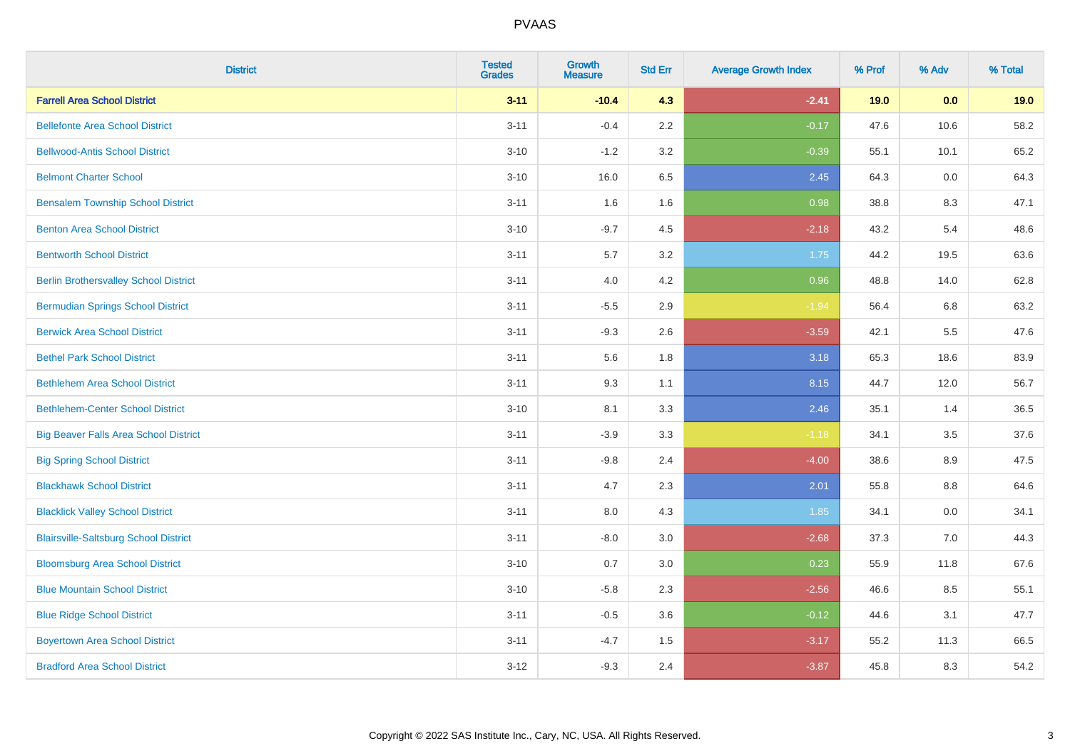| <b>District</b>                              | <b>Tested</b><br><b>Grades</b> | <b>Growth</b><br><b>Measure</b> | <b>Std Err</b> | <b>Average Growth Index</b> | % Prof | % Adv | % Total |
|----------------------------------------------|--------------------------------|---------------------------------|----------------|-----------------------------|--------|-------|---------|
| <b>Farrell Area School District</b>          | $3 - 11$                       | $-10.4$                         | 4.3            | $-2.41$                     | 19.0   | 0.0   | 19.0    |
| <b>Bellefonte Area School District</b>       | $3 - 11$                       | $-0.4$                          | 2.2            | $-0.17$                     | 47.6   | 10.6  | 58.2    |
| <b>Bellwood-Antis School District</b>        | $3 - 10$                       | $-1.2$                          | 3.2            | $-0.39$                     | 55.1   | 10.1  | 65.2    |
| <b>Belmont Charter School</b>                | $3 - 10$                       | 16.0                            | 6.5            | 2.45                        | 64.3   | 0.0   | 64.3    |
| <b>Bensalem Township School District</b>     | $3 - 11$                       | 1.6                             | 1.6            | 0.98                        | 38.8   | 8.3   | 47.1    |
| <b>Benton Area School District</b>           | $3 - 10$                       | $-9.7$                          | 4.5            | $-2.18$                     | 43.2   | 5.4   | 48.6    |
| <b>Bentworth School District</b>             | $3 - 11$                       | $5.7\,$                         | 3.2            | 1.75                        | 44.2   | 19.5  | 63.6    |
| <b>Berlin Brothersvalley School District</b> | $3 - 11$                       | 4.0                             | 4.2            | 0.96                        | 48.8   | 14.0  | 62.8    |
| <b>Bermudian Springs School District</b>     | $3 - 11$                       | $-5.5$                          | 2.9            | $-1.94$                     | 56.4   | 6.8   | 63.2    |
| <b>Berwick Area School District</b>          | $3 - 11$                       | $-9.3$                          | 2.6            | $-3.59$                     | 42.1   | 5.5   | 47.6    |
| <b>Bethel Park School District</b>           | $3 - 11$                       | 5.6                             | 1.8            | 3.18                        | 65.3   | 18.6  | 83.9    |
| <b>Bethlehem Area School District</b>        | $3 - 11$                       | 9.3                             | 1.1            | 8.15                        | 44.7   | 12.0  | 56.7    |
| <b>Bethlehem-Center School District</b>      | $3 - 10$                       | 8.1                             | 3.3            | 2.46                        | 35.1   | 1.4   | 36.5    |
| <b>Big Beaver Falls Area School District</b> | $3 - 11$                       | $-3.9$                          | 3.3            | $-1.18$                     | 34.1   | 3.5   | 37.6    |
| <b>Big Spring School District</b>            | $3 - 11$                       | $-9.8$                          | 2.4            | $-4.00$                     | 38.6   | 8.9   | 47.5    |
| <b>Blackhawk School District</b>             | $3 - 11$                       | 4.7                             | 2.3            | 2.01                        | 55.8   | 8.8   | 64.6    |
| <b>Blacklick Valley School District</b>      | $3 - 11$                       | 8.0                             | 4.3            | 1.85                        | 34.1   | 0.0   | 34.1    |
| <b>Blairsville-Saltsburg School District</b> | $3 - 11$                       | $-8.0$                          | 3.0            | $-2.68$                     | 37.3   | 7.0   | 44.3    |
| <b>Bloomsburg Area School District</b>       | $3 - 10$                       | 0.7                             | 3.0            | 0.23                        | 55.9   | 11.8  | 67.6    |
| <b>Blue Mountain School District</b>         | $3 - 10$                       | $-5.8$                          | 2.3            | $-2.56$                     | 46.6   | 8.5   | 55.1    |
| <b>Blue Ridge School District</b>            | $3 - 11$                       | $-0.5$                          | 3.6            | $-0.12$                     | 44.6   | 3.1   | 47.7    |
| <b>Boyertown Area School District</b>        | $3 - 11$                       | $-4.7$                          | 1.5            | $-3.17$                     | 55.2   | 11.3  | 66.5    |
| <b>Bradford Area School District</b>         | $3 - 12$                       | $-9.3$                          | 2.4            | $-3.87$                     | 45.8   | 8.3   | 54.2    |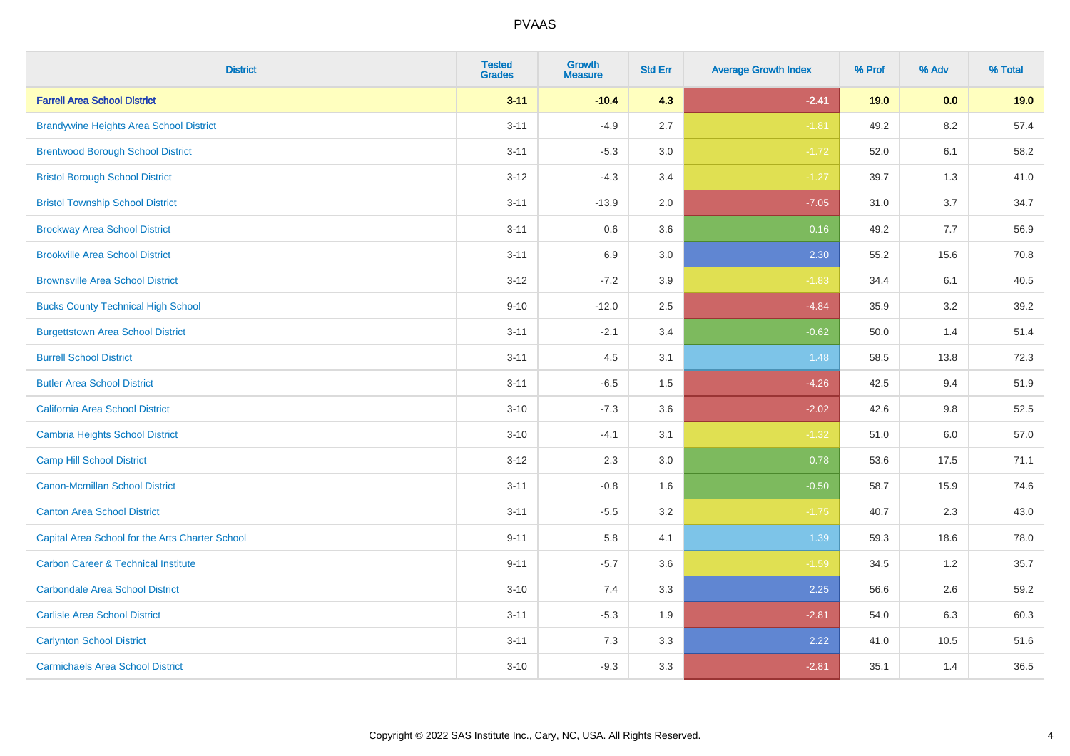| <b>District</b>                                 | <b>Tested</b><br><b>Grades</b> | <b>Growth</b><br><b>Measure</b> | <b>Std Err</b> | <b>Average Growth Index</b> | % Prof | % Adv   | % Total |
|-------------------------------------------------|--------------------------------|---------------------------------|----------------|-----------------------------|--------|---------|---------|
| <b>Farrell Area School District</b>             | $3 - 11$                       | $-10.4$                         | 4.3            | $-2.41$                     | 19.0   | 0.0     | 19.0    |
| <b>Brandywine Heights Area School District</b>  | $3 - 11$                       | $-4.9$                          | 2.7            | $-1.81$                     | 49.2   | 8.2     | 57.4    |
| <b>Brentwood Borough School District</b>        | $3 - 11$                       | $-5.3$                          | 3.0            | $-1.72$                     | 52.0   | 6.1     | 58.2    |
| <b>Bristol Borough School District</b>          | $3 - 12$                       | $-4.3$                          | 3.4            | $-1.27$                     | 39.7   | 1.3     | 41.0    |
| <b>Bristol Township School District</b>         | $3 - 11$                       | $-13.9$                         | 2.0            | $-7.05$                     | 31.0   | 3.7     | 34.7    |
| <b>Brockway Area School District</b>            | $3 - 11$                       | 0.6                             | 3.6            | 0.16                        | 49.2   | 7.7     | 56.9    |
| <b>Brookville Area School District</b>          | $3 - 11$                       | 6.9                             | 3.0            | 2.30                        | 55.2   | 15.6    | 70.8    |
| <b>Brownsville Area School District</b>         | $3 - 12$                       | $-7.2$                          | 3.9            | $-1.83$                     | 34.4   | 6.1     | 40.5    |
| <b>Bucks County Technical High School</b>       | $9 - 10$                       | $-12.0$                         | 2.5            | $-4.84$                     | 35.9   | 3.2     | 39.2    |
| <b>Burgettstown Area School District</b>        | $3 - 11$                       | $-2.1$                          | 3.4            | $-0.62$                     | 50.0   | 1.4     | 51.4    |
| <b>Burrell School District</b>                  | $3 - 11$                       | 4.5                             | 3.1            | 1.48                        | 58.5   | 13.8    | 72.3    |
| <b>Butler Area School District</b>              | $3 - 11$                       | $-6.5$                          | 1.5            | $-4.26$                     | 42.5   | 9.4     | 51.9    |
| California Area School District                 | $3 - 10$                       | $-7.3$                          | 3.6            | $-2.02$                     | 42.6   | 9.8     | 52.5    |
| <b>Cambria Heights School District</b>          | $3 - 10$                       | $-4.1$                          | 3.1            | $-1.32$                     | 51.0   | $6.0\,$ | 57.0    |
| <b>Camp Hill School District</b>                | $3 - 12$                       | 2.3                             | 3.0            | 0.78                        | 53.6   | 17.5    | 71.1    |
| Canon-Mcmillan School District                  | $3 - 11$                       | $-0.8$                          | 1.6            | $-0.50$                     | 58.7   | 15.9    | 74.6    |
| <b>Canton Area School District</b>              | $3 - 11$                       | $-5.5$                          | 3.2            | $-1.75$                     | 40.7   | 2.3     | 43.0    |
| Capital Area School for the Arts Charter School | $9 - 11$                       | 5.8                             | 4.1            | 1.39                        | 59.3   | 18.6    | 78.0    |
| <b>Carbon Career &amp; Technical Institute</b>  | $9 - 11$                       | $-5.7$                          | 3.6            | $-1.59$                     | 34.5   | 1.2     | 35.7    |
| <b>Carbondale Area School District</b>          | $3 - 10$                       | 7.4                             | 3.3            | 2.25                        | 56.6   | 2.6     | 59.2    |
| <b>Carlisle Area School District</b>            | $3 - 11$                       | $-5.3$                          | 1.9            | $-2.81$                     | 54.0   | 6.3     | 60.3    |
| <b>Carlynton School District</b>                | $3 - 11$                       | 7.3                             | 3.3            | 2.22                        | 41.0   | 10.5    | 51.6    |
| <b>Carmichaels Area School District</b>         | $3 - 10$                       | $-9.3$                          | 3.3            | $-2.81$                     | 35.1   | 1.4     | 36.5    |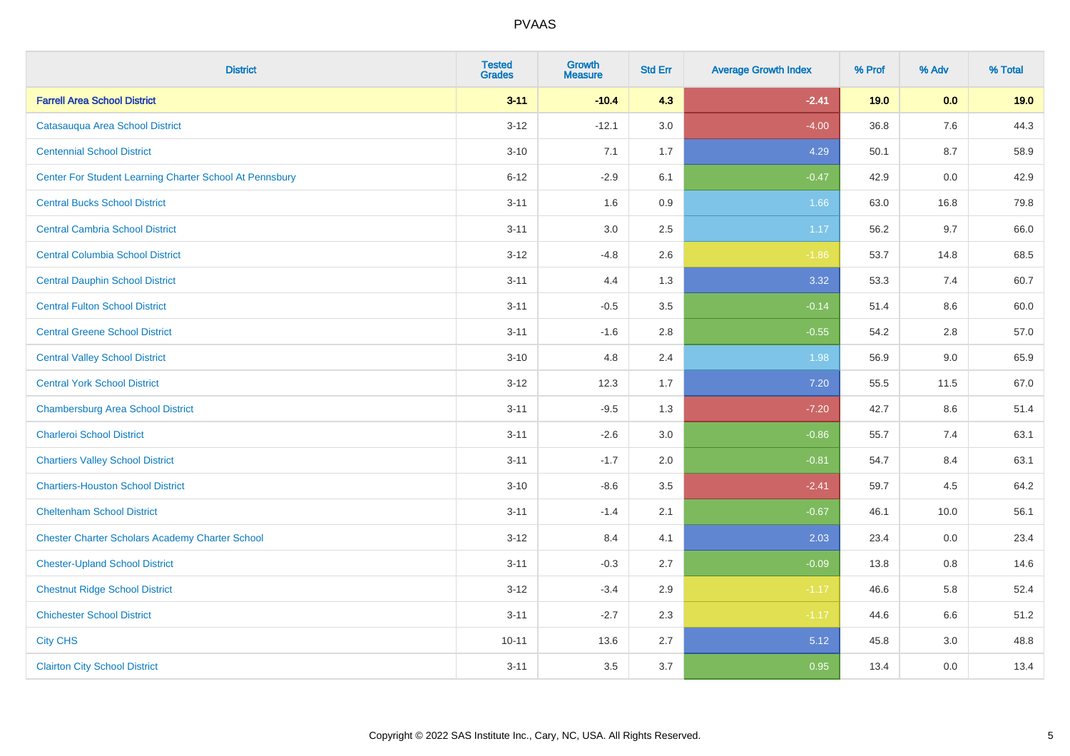| <b>District</b>                                         | <b>Tested</b><br><b>Grades</b> | <b>Growth</b><br><b>Measure</b> | <b>Std Err</b> | <b>Average Growth Index</b> | % Prof | % Adv   | % Total |
|---------------------------------------------------------|--------------------------------|---------------------------------|----------------|-----------------------------|--------|---------|---------|
| <b>Farrell Area School District</b>                     | $3 - 11$                       | $-10.4$                         | 4.3            | $-2.41$                     | 19.0   | 0.0     | 19.0    |
| Catasauqua Area School District                         | $3 - 12$                       | $-12.1$                         | 3.0            | $-4.00$                     | 36.8   | 7.6     | 44.3    |
| <b>Centennial School District</b>                       | $3 - 10$                       | 7.1                             | 1.7            | 4.29                        | 50.1   | 8.7     | 58.9    |
| Center For Student Learning Charter School At Pennsbury | $6 - 12$                       | $-2.9$                          | 6.1            | $-0.47$                     | 42.9   | 0.0     | 42.9    |
| <b>Central Bucks School District</b>                    | $3 - 11$                       | 1.6                             | 0.9            | 1.66                        | 63.0   | 16.8    | 79.8    |
| <b>Central Cambria School District</b>                  | $3 - 11$                       | $3.0\,$                         | 2.5            | 1.17                        | 56.2   | 9.7     | 66.0    |
| <b>Central Columbia School District</b>                 | $3 - 12$                       | $-4.8$                          | 2.6            | $-1.86$                     | 53.7   | 14.8    | 68.5    |
| <b>Central Dauphin School District</b>                  | $3 - 11$                       | 4.4                             | 1.3            | 3.32                        | 53.3   | 7.4     | 60.7    |
| <b>Central Fulton School District</b>                   | $3 - 11$                       | $-0.5$                          | 3.5            | $-0.14$                     | 51.4   | 8.6     | 60.0    |
| <b>Central Greene School District</b>                   | $3 - 11$                       | $-1.6$                          | 2.8            | $-0.55$                     | 54.2   | $2.8\,$ | 57.0    |
| <b>Central Valley School District</b>                   | $3 - 10$                       | 4.8                             | 2.4            | 1.98                        | 56.9   | 9.0     | 65.9    |
| <b>Central York School District</b>                     | $3-12$                         | 12.3                            | 1.7            | 7.20                        | 55.5   | 11.5    | 67.0    |
| <b>Chambersburg Area School District</b>                | $3 - 11$                       | $-9.5$                          | 1.3            | $-7.20$                     | 42.7   | 8.6     | 51.4    |
| <b>Charleroi School District</b>                        | $3 - 11$                       | $-2.6$                          | 3.0            | $-0.86$                     | 55.7   | 7.4     | 63.1    |
| <b>Chartiers Valley School District</b>                 | $3 - 11$                       | $-1.7$                          | 2.0            | $-0.81$                     | 54.7   | 8.4     | 63.1    |
| <b>Chartiers-Houston School District</b>                | $3 - 10$                       | $-8.6$                          | 3.5            | $-2.41$                     | 59.7   | 4.5     | 64.2    |
| <b>Cheltenham School District</b>                       | $3 - 11$                       | $-1.4$                          | 2.1            | $-0.67$                     | 46.1   | 10.0    | 56.1    |
| <b>Chester Charter Scholars Academy Charter School</b>  | $3-12$                         | 8.4                             | 4.1            | 2.03                        | 23.4   | 0.0     | 23.4    |
| <b>Chester-Upland School District</b>                   | $3 - 11$                       | $-0.3$                          | 2.7            | $-0.09$                     | 13.8   | 0.8     | 14.6    |
| <b>Chestnut Ridge School District</b>                   | $3-12$                         | $-3.4$                          | 2.9            | $-1.17$                     | 46.6   | 5.8     | 52.4    |
| <b>Chichester School District</b>                       | $3 - 11$                       | $-2.7$                          | 2.3            | $-1.17$                     | 44.6   | 6.6     | 51.2    |
| <b>City CHS</b>                                         | $10 - 11$                      | 13.6                            | 2.7            | 5.12                        | 45.8   | 3.0     | 48.8    |
| <b>Clairton City School District</b>                    | $3 - 11$                       | 3.5                             | 3.7            | 0.95                        | 13.4   | 0.0     | 13.4    |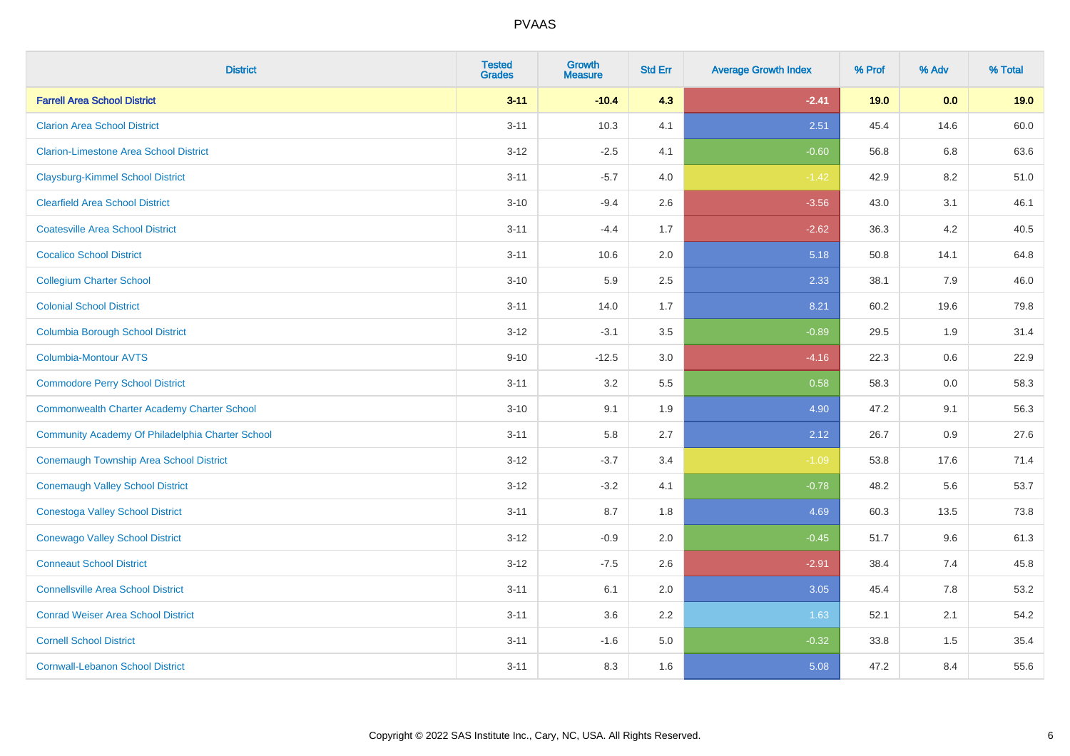| <b>District</b>                                    | <b>Tested</b><br><b>Grades</b> | <b>Growth</b><br><b>Measure</b> | <b>Std Err</b> | <b>Average Growth Index</b> | % Prof | % Adv | % Total |
|----------------------------------------------------|--------------------------------|---------------------------------|----------------|-----------------------------|--------|-------|---------|
| <b>Farrell Area School District</b>                | $3 - 11$                       | $-10.4$                         | 4.3            | $-2.41$                     | 19.0   | 0.0   | 19.0    |
| <b>Clarion Area School District</b>                | $3 - 11$                       | 10.3                            | 4.1            | 2.51                        | 45.4   | 14.6  | 60.0    |
| <b>Clarion-Limestone Area School District</b>      | $3 - 12$                       | $-2.5$                          | 4.1            | $-0.60$                     | 56.8   | 6.8   | 63.6    |
| <b>Claysburg-Kimmel School District</b>            | $3 - 11$                       | $-5.7$                          | 4.0            | $-1.42$                     | 42.9   | 8.2   | 51.0    |
| <b>Clearfield Area School District</b>             | $3 - 10$                       | $-9.4$                          | 2.6            | $-3.56$                     | 43.0   | 3.1   | 46.1    |
| <b>Coatesville Area School District</b>            | $3 - 11$                       | $-4.4$                          | 1.7            | $-2.62$                     | 36.3   | 4.2   | 40.5    |
| <b>Cocalico School District</b>                    | $3 - 11$                       | 10.6                            | 2.0            | 5.18                        | 50.8   | 14.1  | 64.8    |
| <b>Collegium Charter School</b>                    | $3 - 10$                       | 5.9                             | 2.5            | 2.33                        | 38.1   | 7.9   | 46.0    |
| <b>Colonial School District</b>                    | $3 - 11$                       | 14.0                            | 1.7            | 8.21                        | 60.2   | 19.6  | 79.8    |
| <b>Columbia Borough School District</b>            | $3 - 12$                       | $-3.1$                          | 3.5            | $-0.89$                     | 29.5   | 1.9   | 31.4    |
| Columbia-Montour AVTS                              | $9 - 10$                       | $-12.5$                         | 3.0            | $-4.16$                     | 22.3   | 0.6   | 22.9    |
| <b>Commodore Perry School District</b>             | $3 - 11$                       | 3.2                             | 5.5            | 0.58                        | 58.3   | 0.0   | 58.3    |
| <b>Commonwealth Charter Academy Charter School</b> | $3 - 10$                       | 9.1                             | 1.9            | 4.90                        | 47.2   | 9.1   | 56.3    |
| Community Academy Of Philadelphia Charter School   | $3 - 11$                       | 5.8                             | 2.7            | 2.12                        | 26.7   | 0.9   | 27.6    |
| Conemaugh Township Area School District            | $3 - 12$                       | $-3.7$                          | 3.4            | $-1.09$                     | 53.8   | 17.6  | 71.4    |
| <b>Conemaugh Valley School District</b>            | $3 - 12$                       | $-3.2$                          | 4.1            | $-0.78$                     | 48.2   | 5.6   | 53.7    |
| <b>Conestoga Valley School District</b>            | $3 - 11$                       | 8.7                             | 1.8            | 4.69                        | 60.3   | 13.5  | 73.8    |
| <b>Conewago Valley School District</b>             | $3 - 12$                       | $-0.9$                          | 2.0            | $-0.45$                     | 51.7   | 9.6   | 61.3    |
| <b>Conneaut School District</b>                    | $3 - 12$                       | $-7.5$                          | 2.6            | $-2.91$                     | 38.4   | 7.4   | 45.8    |
| <b>Connellsville Area School District</b>          | $3 - 11$                       | 6.1                             | 2.0            | 3.05                        | 45.4   | 7.8   | 53.2    |
| <b>Conrad Weiser Area School District</b>          | $3 - 11$                       | 3.6                             | 2.2            | 1.63                        | 52.1   | 2.1   | 54.2    |
| <b>Cornell School District</b>                     | $3 - 11$                       | $-1.6$                          | 5.0            | $-0.32$                     | 33.8   | 1.5   | 35.4    |
| <b>Cornwall-Lebanon School District</b>            | $3 - 11$                       | 8.3                             | 1.6            | 5.08                        | 47.2   | 8.4   | 55.6    |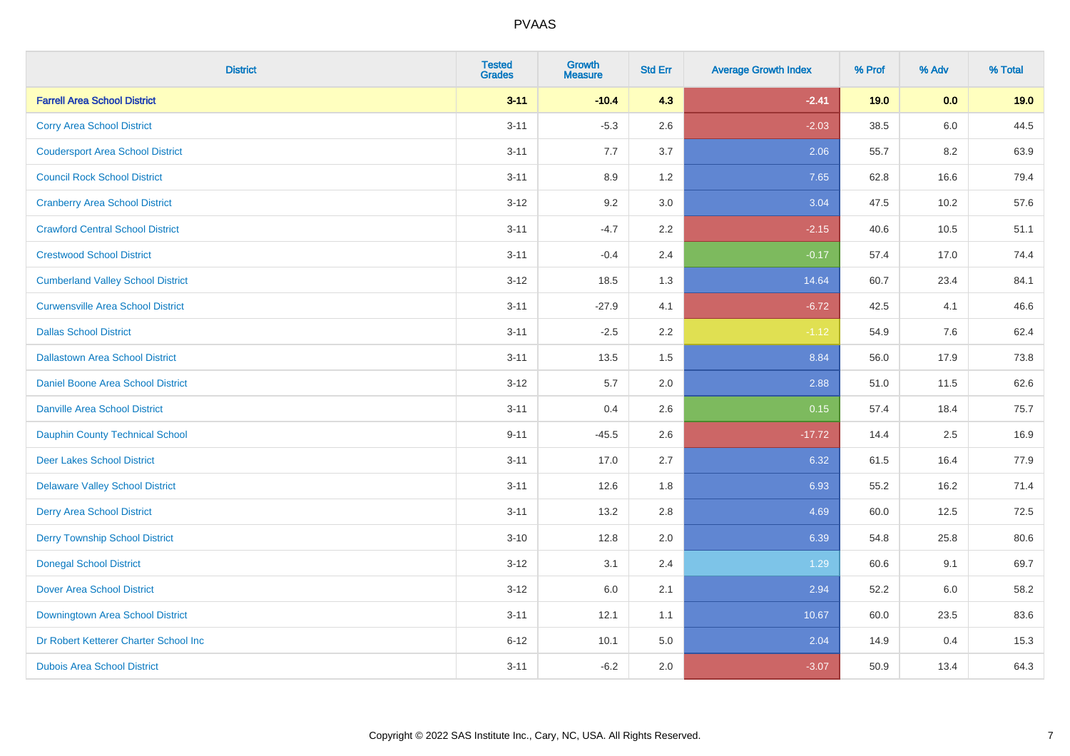| <b>District</b>                          | <b>Tested</b><br><b>Grades</b> | <b>Growth</b><br><b>Measure</b> | <b>Std Err</b> | <b>Average Growth Index</b> | % Prof | % Adv   | % Total |
|------------------------------------------|--------------------------------|---------------------------------|----------------|-----------------------------|--------|---------|---------|
| <b>Farrell Area School District</b>      | $3 - 11$                       | $-10.4$                         | 4.3            | $-2.41$                     | 19.0   | 0.0     | 19.0    |
| <b>Corry Area School District</b>        | $3 - 11$                       | $-5.3$                          | 2.6            | $-2.03$                     | 38.5   | 6.0     | 44.5    |
| <b>Coudersport Area School District</b>  | $3 - 11$                       | 7.7                             | 3.7            | 2.06                        | 55.7   | 8.2     | 63.9    |
| <b>Council Rock School District</b>      | $3 - 11$                       | 8.9                             | 1.2            | 7.65                        | 62.8   | 16.6    | 79.4    |
| <b>Cranberry Area School District</b>    | $3 - 12$                       | 9.2                             | 3.0            | 3.04                        | 47.5   | 10.2    | 57.6    |
| <b>Crawford Central School District</b>  | $3 - 11$                       | $-4.7$                          | 2.2            | $-2.15$                     | 40.6   | 10.5    | 51.1    |
| <b>Crestwood School District</b>         | $3 - 11$                       | $-0.4$                          | 2.4            | $-0.17$                     | 57.4   | 17.0    | 74.4    |
| <b>Cumberland Valley School District</b> | $3 - 12$                       | 18.5                            | 1.3            | 14.64                       | 60.7   | 23.4    | 84.1    |
| <b>Curwensville Area School District</b> | $3 - 11$                       | $-27.9$                         | 4.1            | $-6.72$                     | 42.5   | 4.1     | 46.6    |
| <b>Dallas School District</b>            | $3 - 11$                       | $-2.5$                          | 2.2            | $-1.12$                     | 54.9   | $7.6\,$ | 62.4    |
| <b>Dallastown Area School District</b>   | $3 - 11$                       | 13.5                            | 1.5            | 8.84                        | 56.0   | 17.9    | 73.8    |
| Daniel Boone Area School District        | $3 - 12$                       | 5.7                             | 2.0            | 2.88                        | 51.0   | 11.5    | 62.6    |
| <b>Danville Area School District</b>     | $3 - 11$                       | 0.4                             | 2.6            | 0.15                        | 57.4   | 18.4    | 75.7    |
| <b>Dauphin County Technical School</b>   | $9 - 11$                       | $-45.5$                         | 2.6            | $-17.72$                    | 14.4   | 2.5     | 16.9    |
| <b>Deer Lakes School District</b>        | $3 - 11$                       | 17.0                            | 2.7            | 6.32                        | 61.5   | 16.4    | 77.9    |
| <b>Delaware Valley School District</b>   | $3 - 11$                       | 12.6                            | 1.8            | 6.93                        | 55.2   | 16.2    | 71.4    |
| <b>Derry Area School District</b>        | $3 - 11$                       | 13.2                            | 2.8            | 4.69                        | 60.0   | 12.5    | 72.5    |
| <b>Derry Township School District</b>    | $3 - 10$                       | 12.8                            | 2.0            | 6.39                        | 54.8   | 25.8    | 80.6    |
| <b>Donegal School District</b>           | $3 - 12$                       | 3.1                             | 2.4            | 1.29                        | 60.6   | 9.1     | 69.7    |
| <b>Dover Area School District</b>        | $3 - 12$                       | 6.0                             | 2.1            | 2.94                        | 52.2   | 6.0     | 58.2    |
| Downingtown Area School District         | $3 - 11$                       | 12.1                            | 1.1            | 10.67                       | 60.0   | 23.5    | 83.6    |
| Dr Robert Ketterer Charter School Inc    | $6 - 12$                       | 10.1                            | 5.0            | 2.04                        | 14.9   | 0.4     | 15.3    |
| <b>Dubois Area School District</b>       | $3 - 11$                       | $-6.2$                          | 2.0            | $-3.07$                     | 50.9   | 13.4    | 64.3    |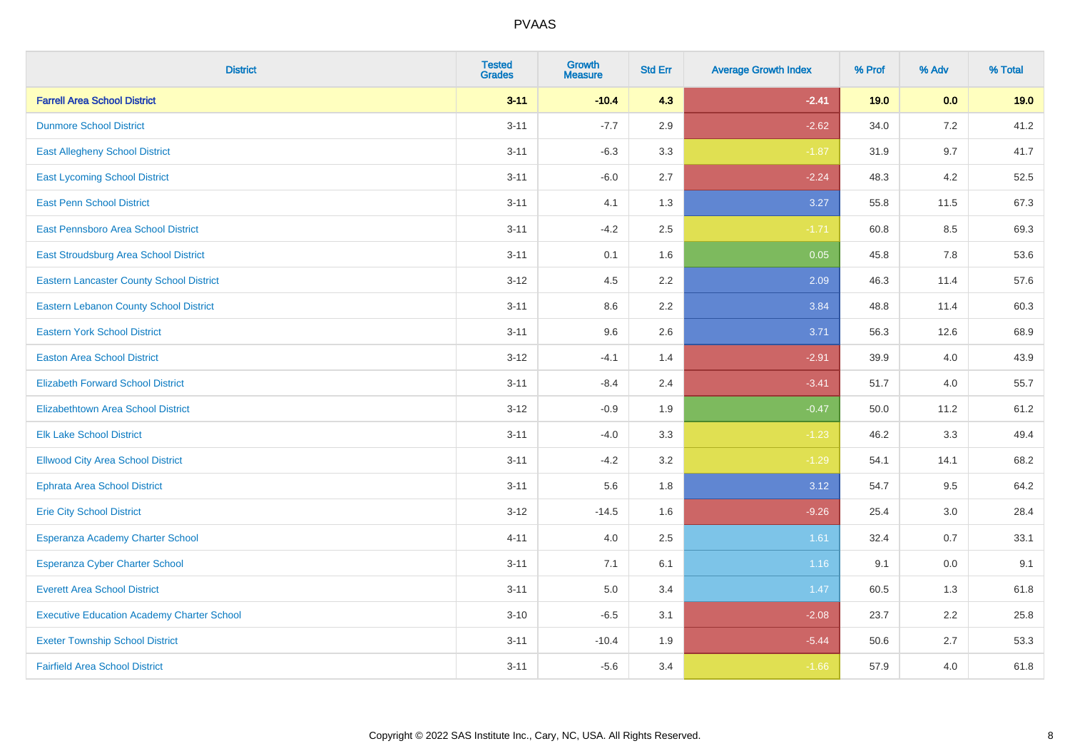| <b>District</b>                                   | <b>Tested</b><br><b>Grades</b> | <b>Growth</b><br><b>Measure</b> | <b>Std Err</b> | <b>Average Growth Index</b> | % Prof | % Adv   | % Total |
|---------------------------------------------------|--------------------------------|---------------------------------|----------------|-----------------------------|--------|---------|---------|
| <b>Farrell Area School District</b>               | $3 - 11$                       | $-10.4$                         | 4.3            | $-2.41$                     | 19.0   | 0.0     | 19.0    |
| <b>Dunmore School District</b>                    | $3 - 11$                       | $-7.7$                          | 2.9            | $-2.62$                     | 34.0   | 7.2     | 41.2    |
| <b>East Allegheny School District</b>             | $3 - 11$                       | $-6.3$                          | 3.3            | $-1.87$                     | 31.9   | 9.7     | 41.7    |
| <b>East Lycoming School District</b>              | $3 - 11$                       | $-6.0$                          | 2.7            | $-2.24$                     | 48.3   | 4.2     | 52.5    |
| <b>East Penn School District</b>                  | $3 - 11$                       | 4.1                             | 1.3            | 3.27                        | 55.8   | 11.5    | 67.3    |
| East Pennsboro Area School District               | $3 - 11$                       | $-4.2$                          | 2.5            | $-1.71$                     | 60.8   | 8.5     | 69.3    |
| East Stroudsburg Area School District             | $3 - 11$                       | 0.1                             | 1.6            | 0.05                        | 45.8   | 7.8     | 53.6    |
| <b>Eastern Lancaster County School District</b>   | $3 - 12$                       | 4.5                             | 2.2            | 2.09                        | 46.3   | 11.4    | 57.6    |
| <b>Eastern Lebanon County School District</b>     | $3 - 11$                       | 8.6                             | 2.2            | 3.84                        | 48.8   | 11.4    | 60.3    |
| <b>Eastern York School District</b>               | $3 - 11$                       | 9.6                             | 2.6            | 3.71                        | 56.3   | 12.6    | 68.9    |
| <b>Easton Area School District</b>                | $3 - 12$                       | $-4.1$                          | 1.4            | $-2.91$                     | 39.9   | 4.0     | 43.9    |
| <b>Elizabeth Forward School District</b>          | $3 - 11$                       | $-8.4$                          | 2.4            | $-3.41$                     | 51.7   | 4.0     | 55.7    |
| Elizabethtown Area School District                | $3 - 12$                       | $-0.9$                          | 1.9            | $-0.47$                     | 50.0   | 11.2    | 61.2    |
| <b>Elk Lake School District</b>                   | $3 - 11$                       | $-4.0$                          | 3.3            | $-1.23$                     | 46.2   | 3.3     | 49.4    |
| <b>Ellwood City Area School District</b>          | $3 - 11$                       | $-4.2$                          | 3.2            | $-1.29$                     | 54.1   | 14.1    | 68.2    |
| <b>Ephrata Area School District</b>               | $3 - 11$                       | 5.6                             | 1.8            | 3.12                        | 54.7   | 9.5     | 64.2    |
| <b>Erie City School District</b>                  | $3 - 12$                       | $-14.5$                         | 1.6            | $-9.26$                     | 25.4   | 3.0     | 28.4    |
| Esperanza Academy Charter School                  | $4 - 11$                       | 4.0                             | 2.5            | 1.61                        | 32.4   | 0.7     | 33.1    |
| <b>Esperanza Cyber Charter School</b>             | $3 - 11$                       | 7.1                             | 6.1            | 1.16                        | 9.1    | $0.0\,$ | 9.1     |
| <b>Everett Area School District</b>               | $3 - 11$                       | 5.0                             | 3.4            | 1.47                        | 60.5   | 1.3     | 61.8    |
| <b>Executive Education Academy Charter School</b> | $3 - 10$                       | $-6.5$                          | 3.1            | $-2.08$                     | 23.7   | 2.2     | 25.8    |
| <b>Exeter Township School District</b>            | $3 - 11$                       | $-10.4$                         | 1.9            | $-5.44$                     | 50.6   | 2.7     | 53.3    |
| <b>Fairfield Area School District</b>             | $3 - 11$                       | $-5.6$                          | 3.4            | $-1.66$                     | 57.9   | 4.0     | 61.8    |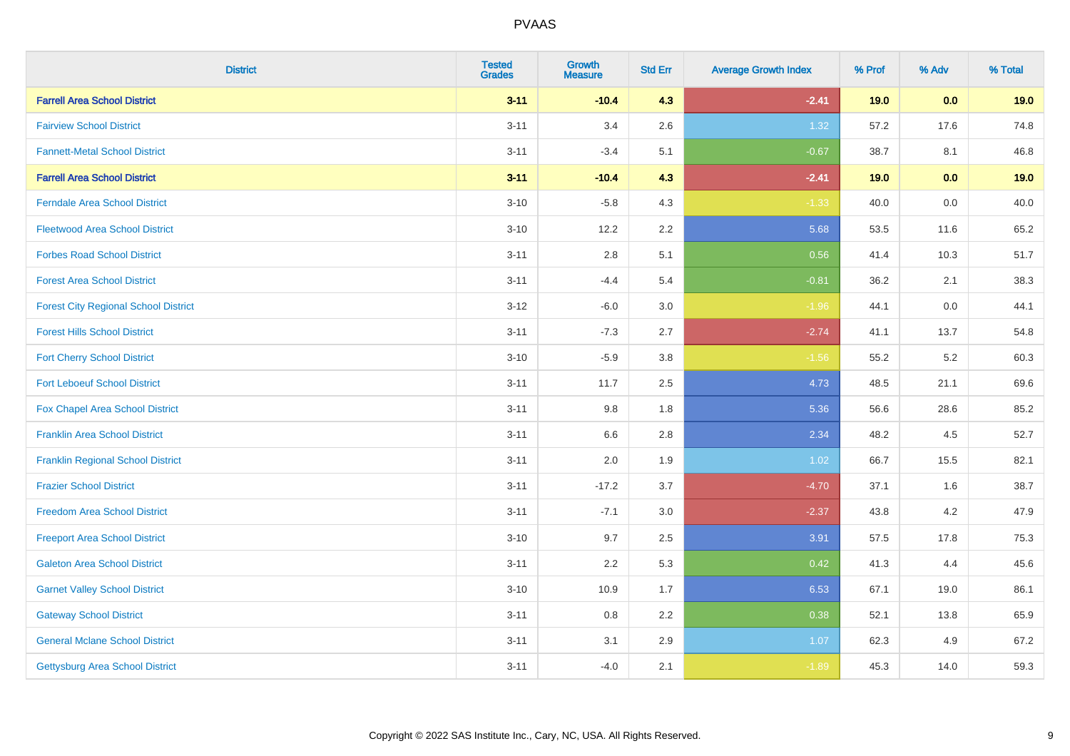| <b>District</b>                             | <b>Tested</b><br><b>Grades</b> | <b>Growth</b><br><b>Measure</b> | <b>Std Err</b> | <b>Average Growth Index</b> | % Prof | % Adv | % Total |
|---------------------------------------------|--------------------------------|---------------------------------|----------------|-----------------------------|--------|-------|---------|
| <b>Farrell Area School District</b>         | $3 - 11$                       | $-10.4$                         | 4.3            | $-2.41$                     | 19.0   | 0.0   | 19.0    |
| <b>Fairview School District</b>             | $3 - 11$                       | 3.4                             | 2.6            | 1.32                        | 57.2   | 17.6  | 74.8    |
| <b>Fannett-Metal School District</b>        | $3 - 11$                       | $-3.4$                          | 5.1            | $-0.67$                     | 38.7   | 8.1   | 46.8    |
| <b>Farrell Area School District</b>         | $3 - 11$                       | $-10.4$                         | 4.3            | $-2.41$                     | 19.0   | 0.0   | 19.0    |
| <b>Ferndale Area School District</b>        | $3 - 10$                       | $-5.8$                          | 4.3            | $-1.33$                     | 40.0   | 0.0   | 40.0    |
| <b>Fleetwood Area School District</b>       | $3 - 10$                       | 12.2                            | 2.2            | 5.68                        | 53.5   | 11.6  | 65.2    |
| <b>Forbes Road School District</b>          | $3 - 11$                       | 2.8                             | 5.1            | 0.56                        | 41.4   | 10.3  | 51.7    |
| <b>Forest Area School District</b>          | $3 - 11$                       | $-4.4$                          | 5.4            | $-0.81$                     | 36.2   | 2.1   | 38.3    |
| <b>Forest City Regional School District</b> | $3 - 12$                       | $-6.0$                          | 3.0            | $-1.96$                     | 44.1   | 0.0   | 44.1    |
| <b>Forest Hills School District</b>         | $3 - 11$                       | $-7.3$                          | 2.7            | $-2.74$                     | 41.1   | 13.7  | 54.8    |
| <b>Fort Cherry School District</b>          | $3 - 10$                       | $-5.9$                          | 3.8            | $-1.56$                     | 55.2   | 5.2   | 60.3    |
| <b>Fort Leboeuf School District</b>         | $3 - 11$                       | 11.7                            | 2.5            | 4.73                        | 48.5   | 21.1  | 69.6    |
| Fox Chapel Area School District             | $3 - 11$                       | 9.8                             | 1.8            | 5.36                        | 56.6   | 28.6  | 85.2    |
| <b>Franklin Area School District</b>        | $3 - 11$                       | 6.6                             | 2.8            | 2.34                        | 48.2   | 4.5   | 52.7    |
| <b>Franklin Regional School District</b>    | $3 - 11$                       | 2.0                             | 1.9            | 1.02                        | 66.7   | 15.5  | 82.1    |
| <b>Frazier School District</b>              | $3 - 11$                       | $-17.2$                         | 3.7            | $-4.70$                     | 37.1   | 1.6   | 38.7    |
| <b>Freedom Area School District</b>         | $3 - 11$                       | $-7.1$                          | 3.0            | $-2.37$                     | 43.8   | 4.2   | 47.9    |
| <b>Freeport Area School District</b>        | $3 - 10$                       | 9.7                             | 2.5            | 3.91                        | 57.5   | 17.8  | 75.3    |
| <b>Galeton Area School District</b>         | $3 - 11$                       | 2.2                             | 5.3            | 0.42                        | 41.3   | 4.4   | 45.6    |
| <b>Garnet Valley School District</b>        | $3 - 10$                       | 10.9                            | 1.7            | 6.53                        | 67.1   | 19.0  | 86.1    |
| <b>Gateway School District</b>              | $3 - 11$                       | 0.8                             | 2.2            | 0.38                        | 52.1   | 13.8  | 65.9    |
| <b>General Mclane School District</b>       | $3 - 11$                       | 3.1                             | 2.9            | 1.07                        | 62.3   | 4.9   | 67.2    |
| <b>Gettysburg Area School District</b>      | $3 - 11$                       | $-4.0$                          | 2.1            | $-1.89$                     | 45.3   | 14.0  | 59.3    |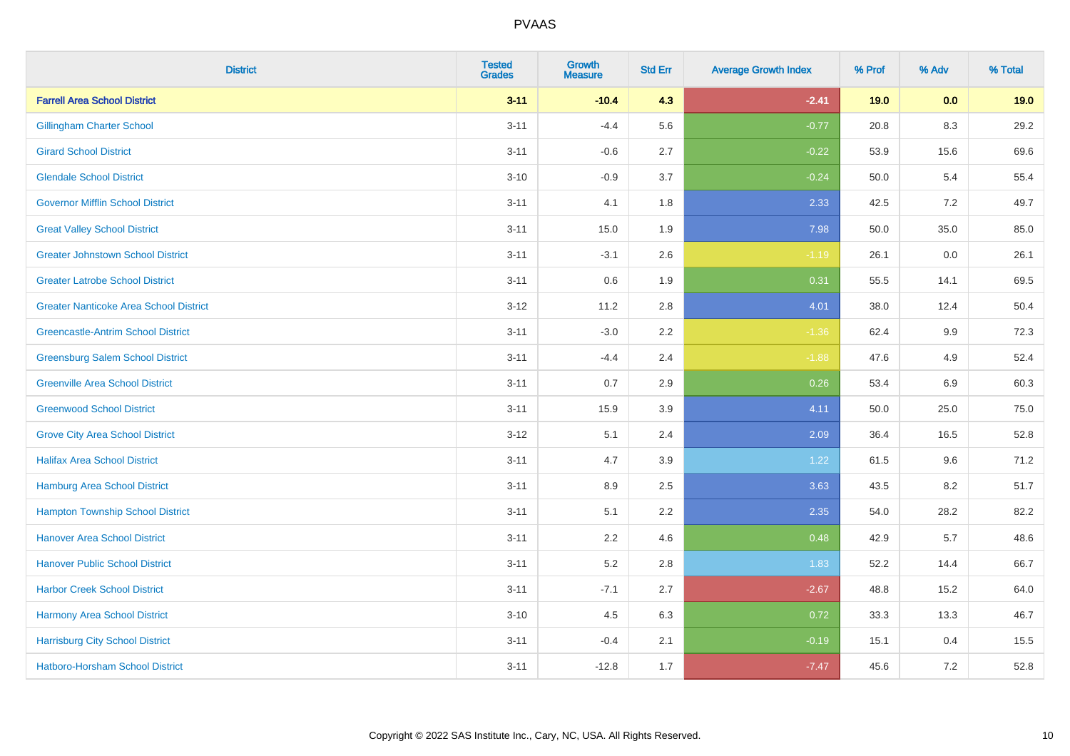| <b>District</b>                               | <b>Tested</b><br><b>Grades</b> | Growth<br><b>Measure</b> | <b>Std Err</b> | <b>Average Growth Index</b> | % Prof | % Adv   | % Total |
|-----------------------------------------------|--------------------------------|--------------------------|----------------|-----------------------------|--------|---------|---------|
| <b>Farrell Area School District</b>           | $3 - 11$                       | $-10.4$                  | 4.3            | $-2.41$                     | 19.0   | 0.0     | 19.0    |
| <b>Gillingham Charter School</b>              | $3 - 11$                       | $-4.4$                   | 5.6            | $-0.77$                     | 20.8   | 8.3     | 29.2    |
| <b>Girard School District</b>                 | $3 - 11$                       | $-0.6$                   | 2.7            | $-0.22$                     | 53.9   | 15.6    | 69.6    |
| <b>Glendale School District</b>               | $3 - 10$                       | $-0.9$                   | 3.7            | $-0.24$                     | 50.0   | 5.4     | 55.4    |
| <b>Governor Mifflin School District</b>       | $3 - 11$                       | 4.1                      | 1.8            | 2.33                        | 42.5   | 7.2     | 49.7    |
| <b>Great Valley School District</b>           | $3 - 11$                       | 15.0                     | 1.9            | 7.98                        | 50.0   | 35.0    | 85.0    |
| <b>Greater Johnstown School District</b>      | $3 - 11$                       | $-3.1$                   | 2.6            | $-1.19$                     | 26.1   | $0.0\,$ | 26.1    |
| <b>Greater Latrobe School District</b>        | $3 - 11$                       | 0.6                      | 1.9            | 0.31                        | 55.5   | 14.1    | 69.5    |
| <b>Greater Nanticoke Area School District</b> | $3 - 12$                       | 11.2                     | 2.8            | 4.01                        | 38.0   | 12.4    | 50.4    |
| <b>Greencastle-Antrim School District</b>     | $3 - 11$                       | $-3.0$                   | 2.2            | $-1.36$                     | 62.4   | $9.9\,$ | 72.3    |
| <b>Greensburg Salem School District</b>       | $3 - 11$                       | $-4.4$                   | 2.4            | $-1.88$                     | 47.6   | 4.9     | 52.4    |
| <b>Greenville Area School District</b>        | $3 - 11$                       | 0.7                      | 2.9            | 0.26                        | 53.4   | 6.9     | 60.3    |
| <b>Greenwood School District</b>              | $3 - 11$                       | 15.9                     | 3.9            | 4.11                        | 50.0   | 25.0    | 75.0    |
| <b>Grove City Area School District</b>        | $3-12$                         | 5.1                      | 2.4            | 2.09                        | 36.4   | 16.5    | 52.8    |
| <b>Halifax Area School District</b>           | $3 - 11$                       | 4.7                      | 3.9            | 1.22                        | 61.5   | 9.6     | 71.2    |
| <b>Hamburg Area School District</b>           | $3 - 11$                       | 8.9                      | 2.5            | 3.63                        | 43.5   | 8.2     | 51.7    |
| <b>Hampton Township School District</b>       | $3 - 11$                       | 5.1                      | 2.2            | 2.35                        | 54.0   | 28.2    | 82.2    |
| <b>Hanover Area School District</b>           | $3 - 11$                       | 2.2                      | 4.6            | 0.48                        | 42.9   | 5.7     | 48.6    |
| <b>Hanover Public School District</b>         | $3 - 11$                       | 5.2                      | 2.8            | 1.83                        | 52.2   | 14.4    | 66.7    |
| <b>Harbor Creek School District</b>           | $3 - 11$                       | $-7.1$                   | 2.7            | $-2.67$                     | 48.8   | 15.2    | 64.0    |
| Harmony Area School District                  | $3 - 10$                       | 4.5                      | 6.3            | 0.72                        | 33.3   | 13.3    | 46.7    |
| <b>Harrisburg City School District</b>        | $3 - 11$                       | $-0.4$                   | 2.1            | $-0.19$                     | 15.1   | 0.4     | 15.5    |
| Hatboro-Horsham School District               | $3 - 11$                       | $-12.8$                  | 1.7            | $-7.47$                     | 45.6   | 7.2     | 52.8    |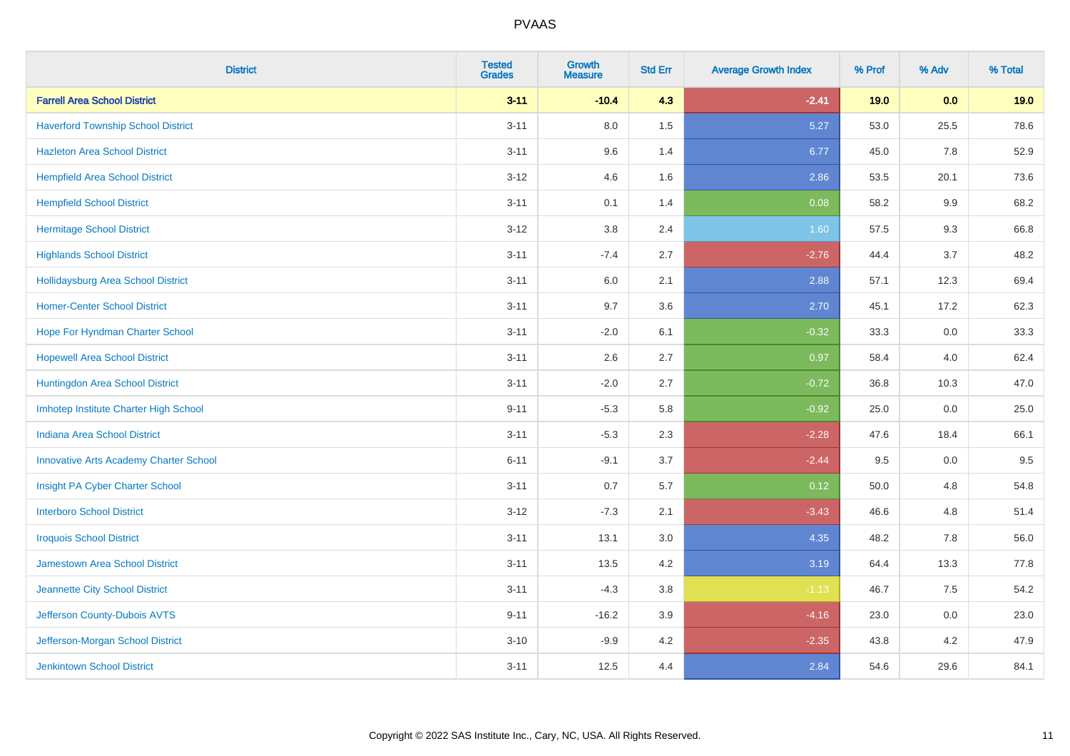| <b>District</b>                               | <b>Tested</b><br><b>Grades</b> | <b>Growth</b><br><b>Measure</b> | <b>Std Err</b> | <b>Average Growth Index</b> | % Prof | % Adv | % Total |
|-----------------------------------------------|--------------------------------|---------------------------------|----------------|-----------------------------|--------|-------|---------|
| <b>Farrell Area School District</b>           | $3 - 11$                       | $-10.4$                         | 4.3            | $-2.41$                     | 19.0   | 0.0   | 19.0    |
| <b>Haverford Township School District</b>     | $3 - 11$                       | 8.0                             | 1.5            | 5.27                        | 53.0   | 25.5  | 78.6    |
| <b>Hazleton Area School District</b>          | $3 - 11$                       | 9.6                             | 1.4            | 6.77                        | 45.0   | 7.8   | 52.9    |
| <b>Hempfield Area School District</b>         | $3 - 12$                       | 4.6                             | 1.6            | 2.86                        | 53.5   | 20.1  | 73.6    |
| <b>Hempfield School District</b>              | $3 - 11$                       | 0.1                             | 1.4            | 0.08                        | 58.2   | 9.9   | 68.2    |
| <b>Hermitage School District</b>              | $3 - 12$                       | 3.8                             | 2.4            | 1.60                        | 57.5   | 9.3   | 66.8    |
| <b>Highlands School District</b>              | $3 - 11$                       | $-7.4$                          | 2.7            | $-2.76$                     | 44.4   | 3.7   | 48.2    |
| <b>Hollidaysburg Area School District</b>     | $3 - 11$                       | 6.0                             | 2.1            | 2.88                        | 57.1   | 12.3  | 69.4    |
| <b>Homer-Center School District</b>           | $3 - 11$                       | 9.7                             | 3.6            | 2.70                        | 45.1   | 17.2  | 62.3    |
| Hope For Hyndman Charter School               | $3 - 11$                       | $-2.0$                          | 6.1            | $-0.32$                     | 33.3   | 0.0   | 33.3    |
| <b>Hopewell Area School District</b>          | $3 - 11$                       | 2.6                             | 2.7            | 0.97                        | 58.4   | 4.0   | 62.4    |
| Huntingdon Area School District               | $3 - 11$                       | $-2.0$                          | 2.7            | $-0.72$                     | 36.8   | 10.3  | 47.0    |
| Imhotep Institute Charter High School         | $9 - 11$                       | $-5.3$                          | 5.8            | $-0.92$                     | 25.0   | 0.0   | 25.0    |
| Indiana Area School District                  | $3 - 11$                       | $-5.3$                          | 2.3            | $-2.28$                     | 47.6   | 18.4  | 66.1    |
| <b>Innovative Arts Academy Charter School</b> | $6 - 11$                       | $-9.1$                          | 3.7            | $-2.44$                     | 9.5    | 0.0   | 9.5     |
| Insight PA Cyber Charter School               | $3 - 11$                       | 0.7                             | 5.7            | 0.12                        | 50.0   | 4.8   | 54.8    |
| <b>Interboro School District</b>              | $3-12$                         | $-7.3$                          | 2.1            | $-3.43$                     | 46.6   | 4.8   | 51.4    |
| <b>Iroquois School District</b>               | $3 - 11$                       | 13.1                            | 3.0            | 4.35                        | 48.2   | 7.8   | 56.0    |
| <b>Jamestown Area School District</b>         | $3 - 11$                       | 13.5                            | 4.2            | 3.19                        | 64.4   | 13.3  | 77.8    |
| Jeannette City School District                | $3 - 11$                       | $-4.3$                          | 3.8            | $-1.13$                     | 46.7   | 7.5   | 54.2    |
| Jefferson County-Dubois AVTS                  | $9 - 11$                       | $-16.2$                         | 3.9            | $-4.16$                     | 23.0   | 0.0   | 23.0    |
| Jefferson-Morgan School District              | $3 - 10$                       | $-9.9$                          | 4.2            | $-2.35$                     | 43.8   | 4.2   | 47.9    |
| <b>Jenkintown School District</b>             | $3 - 11$                       | 12.5                            | 4.4            | 2.84                        | 54.6   | 29.6  | 84.1    |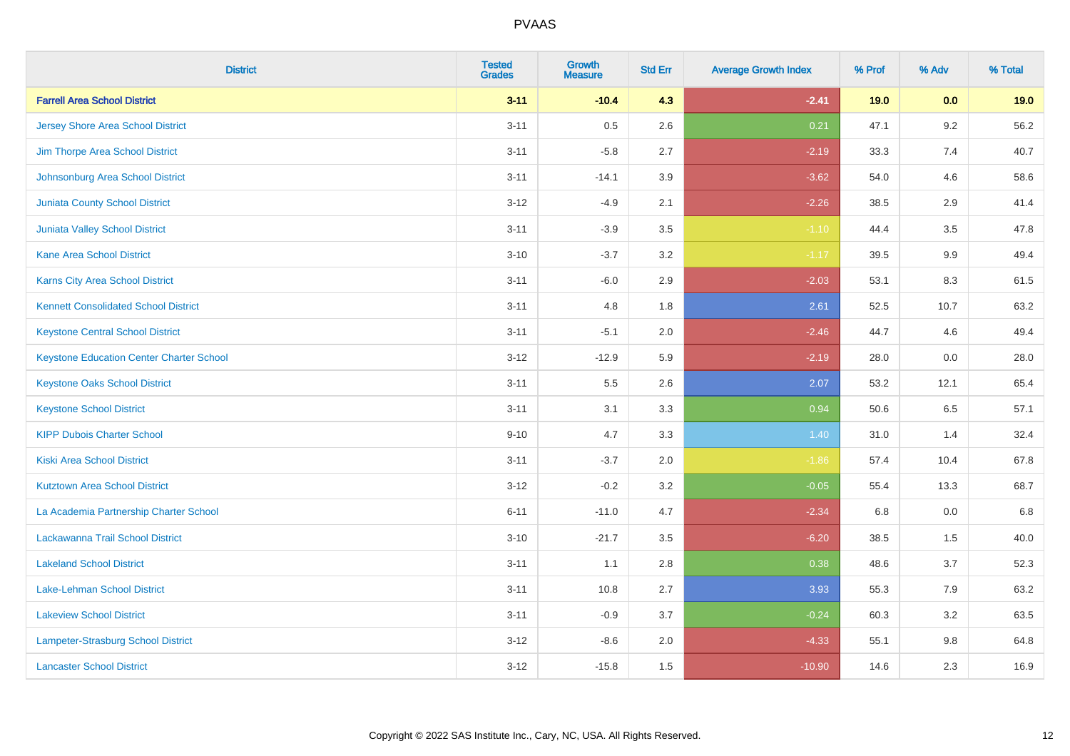| <b>District</b>                                 | <b>Tested</b><br><b>Grades</b> | <b>Growth</b><br><b>Measure</b> | <b>Std Err</b> | <b>Average Growth Index</b> | % Prof | % Adv | % Total |
|-------------------------------------------------|--------------------------------|---------------------------------|----------------|-----------------------------|--------|-------|---------|
| <b>Farrell Area School District</b>             | $3 - 11$                       | $-10.4$                         | 4.3            | $-2.41$                     | 19.0   | 0.0   | 19.0    |
| <b>Jersey Shore Area School District</b>        | $3 - 11$                       | 0.5                             | 2.6            | 0.21                        | 47.1   | 9.2   | 56.2    |
| Jim Thorpe Area School District                 | $3 - 11$                       | $-5.8$                          | 2.7            | $-2.19$                     | 33.3   | 7.4   | 40.7    |
| Johnsonburg Area School District                | $3 - 11$                       | $-14.1$                         | 3.9            | $-3.62$                     | 54.0   | 4.6   | 58.6    |
| <b>Juniata County School District</b>           | $3 - 12$                       | $-4.9$                          | 2.1            | $-2.26$                     | 38.5   | 2.9   | 41.4    |
| <b>Juniata Valley School District</b>           | $3 - 11$                       | $-3.9$                          | 3.5            | $-1.10$                     | 44.4   | 3.5   | 47.8    |
| <b>Kane Area School District</b>                | $3 - 10$                       | $-3.7$                          | 3.2            | $-1.17$                     | 39.5   | 9.9   | 49.4    |
| Karns City Area School District                 | $3 - 11$                       | $-6.0$                          | 2.9            | $-2.03$                     | 53.1   | 8.3   | 61.5    |
| <b>Kennett Consolidated School District</b>     | $3 - 11$                       | 4.8                             | 1.8            | 2.61                        | 52.5   | 10.7  | 63.2    |
| <b>Keystone Central School District</b>         | $3 - 11$                       | $-5.1$                          | 2.0            | $-2.46$                     | 44.7   | 4.6   | 49.4    |
| <b>Keystone Education Center Charter School</b> | $3 - 12$                       | $-12.9$                         | 5.9            | $-2.19$                     | 28.0   | 0.0   | 28.0    |
| <b>Keystone Oaks School District</b>            | $3 - 11$                       | 5.5                             | 2.6            | 2.07                        | 53.2   | 12.1  | 65.4    |
| <b>Keystone School District</b>                 | $3 - 11$                       | 3.1                             | 3.3            | 0.94                        | 50.6   | 6.5   | 57.1    |
| <b>KIPP Dubois Charter School</b>               | $9 - 10$                       | 4.7                             | 3.3            | 1.40                        | 31.0   | 1.4   | 32.4    |
| <b>Kiski Area School District</b>               | $3 - 11$                       | $-3.7$                          | 2.0            | $-1.86$                     | 57.4   | 10.4  | 67.8    |
| <b>Kutztown Area School District</b>            | $3 - 12$                       | $-0.2$                          | 3.2            | $-0.05$                     | 55.4   | 13.3  | 68.7    |
| La Academia Partnership Charter School          | $6 - 11$                       | $-11.0$                         | 4.7            | $-2.34$                     | 6.8    | 0.0   | 6.8     |
| Lackawanna Trail School District                | $3 - 10$                       | $-21.7$                         | 3.5            | $-6.20$                     | 38.5   | 1.5   | 40.0    |
| <b>Lakeland School District</b>                 | $3 - 11$                       | 1.1                             | 2.8            | 0.38                        | 48.6   | 3.7   | 52.3    |
| Lake-Lehman School District                     | $3 - 11$                       | 10.8                            | 2.7            | 3.93                        | 55.3   | 7.9   | 63.2    |
| <b>Lakeview School District</b>                 | $3 - 11$                       | $-0.9$                          | 3.7            | $-0.24$                     | 60.3   | 3.2   | 63.5    |
| Lampeter-Strasburg School District              | $3 - 12$                       | $-8.6$                          | 2.0            | $-4.33$                     | 55.1   | 9.8   | 64.8    |
| <b>Lancaster School District</b>                | $3 - 12$                       | $-15.8$                         | 1.5            | $-10.90$                    | 14.6   | 2.3   | 16.9    |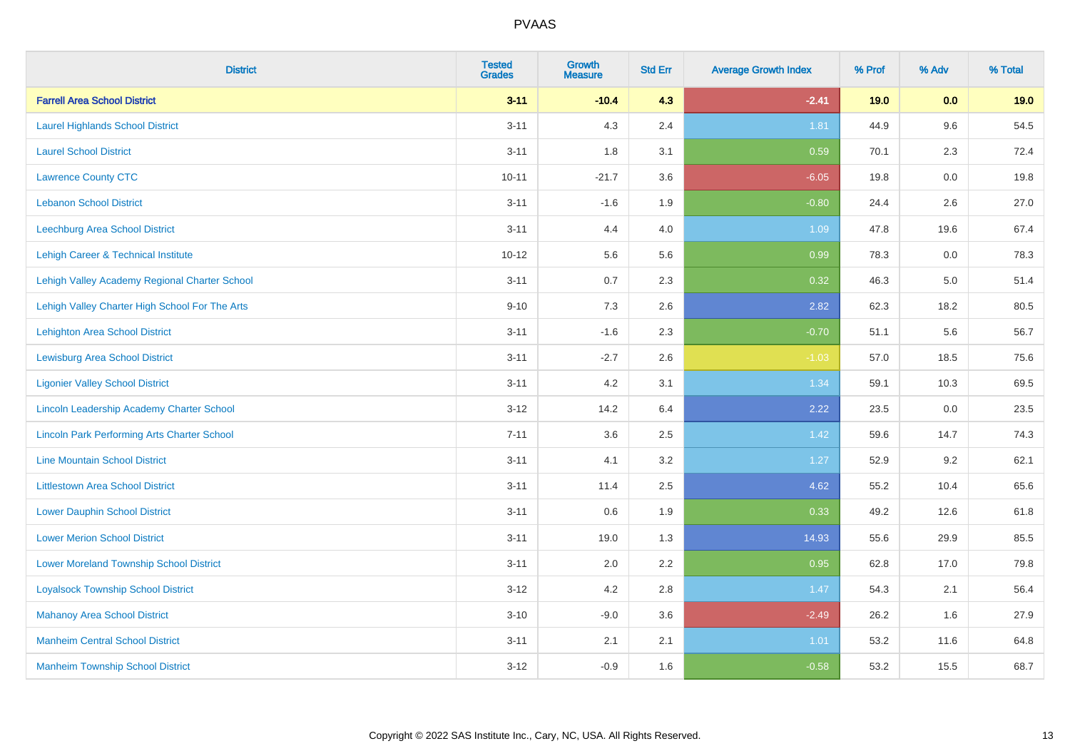| <b>District</b>                                    | <b>Tested</b><br><b>Grades</b> | Growth<br><b>Measure</b> | <b>Std Err</b> | <b>Average Growth Index</b> | % Prof | % Adv   | % Total |
|----------------------------------------------------|--------------------------------|--------------------------|----------------|-----------------------------|--------|---------|---------|
| <b>Farrell Area School District</b>                | $3 - 11$                       | $-10.4$                  | 4.3            | $-2.41$                     | 19.0   | 0.0     | 19.0    |
| <b>Laurel Highlands School District</b>            | $3 - 11$                       | 4.3                      | 2.4            | 1.81                        | 44.9   | 9.6     | 54.5    |
| <b>Laurel School District</b>                      | $3 - 11$                       | 1.8                      | 3.1            | 0.59                        | 70.1   | 2.3     | 72.4    |
| <b>Lawrence County CTC</b>                         | $10 - 11$                      | $-21.7$                  | 3.6            | $-6.05$                     | 19.8   | $0.0\,$ | 19.8    |
| <b>Lebanon School District</b>                     | $3 - 11$                       | $-1.6$                   | 1.9            | $-0.80$                     | 24.4   | 2.6     | 27.0    |
| <b>Leechburg Area School District</b>              | $3 - 11$                       | 4.4                      | 4.0            | 1.09                        | 47.8   | 19.6    | 67.4    |
| Lehigh Career & Technical Institute                | $10 - 12$                      | 5.6                      | 5.6            | 0.99                        | 78.3   | 0.0     | 78.3    |
| Lehigh Valley Academy Regional Charter School      | $3 - 11$                       | 0.7                      | 2.3            | 0.32                        | 46.3   | 5.0     | 51.4    |
| Lehigh Valley Charter High School For The Arts     | $9 - 10$                       | 7.3                      | 2.6            | 2.82                        | 62.3   | 18.2    | 80.5    |
| <b>Lehighton Area School District</b>              | $3 - 11$                       | $-1.6$                   | 2.3            | $-0.70$                     | 51.1   | 5.6     | 56.7    |
| <b>Lewisburg Area School District</b>              | $3 - 11$                       | $-2.7$                   | 2.6            | $-1.03$                     | 57.0   | 18.5    | 75.6    |
| <b>Ligonier Valley School District</b>             | $3 - 11$                       | 4.2                      | 3.1            | 1.34                        | 59.1   | 10.3    | 69.5    |
| Lincoln Leadership Academy Charter School          | $3 - 12$                       | 14.2                     | 6.4            | 2.22                        | 23.5   | 0.0     | 23.5    |
| <b>Lincoln Park Performing Arts Charter School</b> | $7 - 11$                       | 3.6                      | 2.5            | 1.42                        | 59.6   | 14.7    | 74.3    |
| <b>Line Mountain School District</b>               | $3 - 11$                       | 4.1                      | 3.2            | 1.27                        | 52.9   | 9.2     | 62.1    |
| <b>Littlestown Area School District</b>            | $3 - 11$                       | 11.4                     | 2.5            | 4.62                        | 55.2   | 10.4    | 65.6    |
| <b>Lower Dauphin School District</b>               | $3 - 11$                       | 0.6                      | 1.9            | 0.33                        | 49.2   | 12.6    | 61.8    |
| <b>Lower Merion School District</b>                | $3 - 11$                       | 19.0                     | 1.3            | 14.93                       | 55.6   | 29.9    | 85.5    |
| <b>Lower Moreland Township School District</b>     | $3 - 11$                       | 2.0                      | 2.2            | 0.95                        | 62.8   | 17.0    | 79.8    |
| <b>Loyalsock Township School District</b>          | $3 - 12$                       | 4.2                      | 2.8            | 1.47                        | 54.3   | 2.1     | 56.4    |
| <b>Mahanoy Area School District</b>                | $3 - 10$                       | $-9.0$                   | 3.6            | $-2.49$                     | 26.2   | 1.6     | 27.9    |
| <b>Manheim Central School District</b>             | $3 - 11$                       | 2.1                      | 2.1            | 1.01                        | 53.2   | 11.6    | 64.8    |
| <b>Manheim Township School District</b>            | $3 - 12$                       | $-0.9$                   | 1.6            | $-0.58$                     | 53.2   | 15.5    | 68.7    |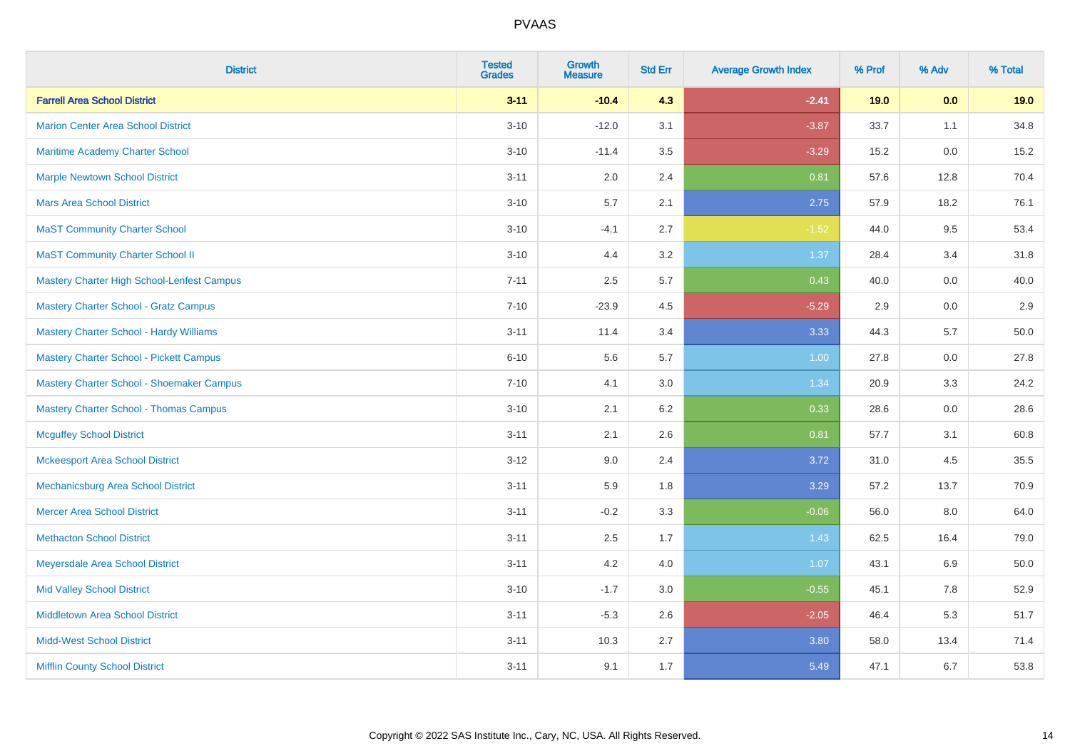| <b>District</b>                                   | <b>Tested</b><br><b>Grades</b> | <b>Growth</b><br><b>Measure</b> | <b>Std Err</b> | <b>Average Growth Index</b> | % Prof | % Adv | % Total |
|---------------------------------------------------|--------------------------------|---------------------------------|----------------|-----------------------------|--------|-------|---------|
| <b>Farrell Area School District</b>               | $3 - 11$                       | $-10.4$                         | 4.3            | $-2.41$                     | 19.0   | 0.0   | 19.0    |
| <b>Marion Center Area School District</b>         | $3 - 10$                       | $-12.0$                         | 3.1            | $-3.87$                     | 33.7   | 1.1   | 34.8    |
| Maritime Academy Charter School                   | $3 - 10$                       | $-11.4$                         | 3.5            | $-3.29$                     | 15.2   | 0.0   | 15.2    |
| <b>Marple Newtown School District</b>             | $3 - 11$                       | 2.0                             | 2.4            | 0.81                        | 57.6   | 12.8  | 70.4    |
| <b>Mars Area School District</b>                  | $3 - 10$                       | 5.7                             | 2.1            | 2.75                        | 57.9   | 18.2  | 76.1    |
| <b>MaST Community Charter School</b>              | $3 - 10$                       | $-4.1$                          | 2.7            | $-1.52$                     | 44.0   | 9.5   | 53.4    |
| <b>MaST Community Charter School II</b>           | $3 - 10$                       | 4.4                             | 3.2            | 1.37                        | 28.4   | 3.4   | 31.8    |
| <b>Mastery Charter High School-Lenfest Campus</b> | $7 - 11$                       | 2.5                             | 5.7            | 0.43                        | 40.0   | 0.0   | 40.0    |
| <b>Mastery Charter School - Gratz Campus</b>      | $7 - 10$                       | $-23.9$                         | 4.5            | $-5.29$                     | 2.9    | 0.0   | 2.9     |
| <b>Mastery Charter School - Hardy Williams</b>    | $3 - 11$                       | 11.4                            | 3.4            | 3.33                        | 44.3   | 5.7   | 50.0    |
| <b>Mastery Charter School - Pickett Campus</b>    | $6 - 10$                       | 5.6                             | 5.7            | 1.00                        | 27.8   | 0.0   | 27.8    |
| Mastery Charter School - Shoemaker Campus         | $7 - 10$                       | 4.1                             | 3.0            | 1.34                        | 20.9   | 3.3   | 24.2    |
| <b>Mastery Charter School - Thomas Campus</b>     | $3 - 10$                       | 2.1                             | 6.2            | 0.33                        | 28.6   | 0.0   | 28.6    |
| <b>Mcguffey School District</b>                   | $3 - 11$                       | 2.1                             | 2.6            | 0.81                        | 57.7   | 3.1   | 60.8    |
| <b>Mckeesport Area School District</b>            | $3 - 12$                       | 9.0                             | 2.4            | 3.72                        | 31.0   | 4.5   | 35.5    |
| Mechanicsburg Area School District                | $3 - 11$                       | 5.9                             | 1.8            | 3.29                        | 57.2   | 13.7  | 70.9    |
| <b>Mercer Area School District</b>                | $3 - 11$                       | $-0.2$                          | 3.3            | $-0.06$                     | 56.0   | 8.0   | 64.0    |
| <b>Methacton School District</b>                  | $3 - 11$                       | 2.5                             | 1.7            | 1.43                        | 62.5   | 16.4  | 79.0    |
| Meyersdale Area School District                   | $3 - 11$                       | 4.2                             | 4.0            | 1.07                        | 43.1   | 6.9   | 50.0    |
| <b>Mid Valley School District</b>                 | $3 - 10$                       | $-1.7$                          | 3.0            | $-0.55$                     | 45.1   | 7.8   | 52.9    |
| <b>Middletown Area School District</b>            | $3 - 11$                       | $-5.3$                          | 2.6            | $-2.05$                     | 46.4   | 5.3   | 51.7    |
| <b>Midd-West School District</b>                  | $3 - 11$                       | 10.3                            | 2.7            | 3.80                        | 58.0   | 13.4  | 71.4    |
| <b>Mifflin County School District</b>             | $3 - 11$                       | 9.1                             | 1.7            | 5.49                        | 47.1   | 6.7   | 53.8    |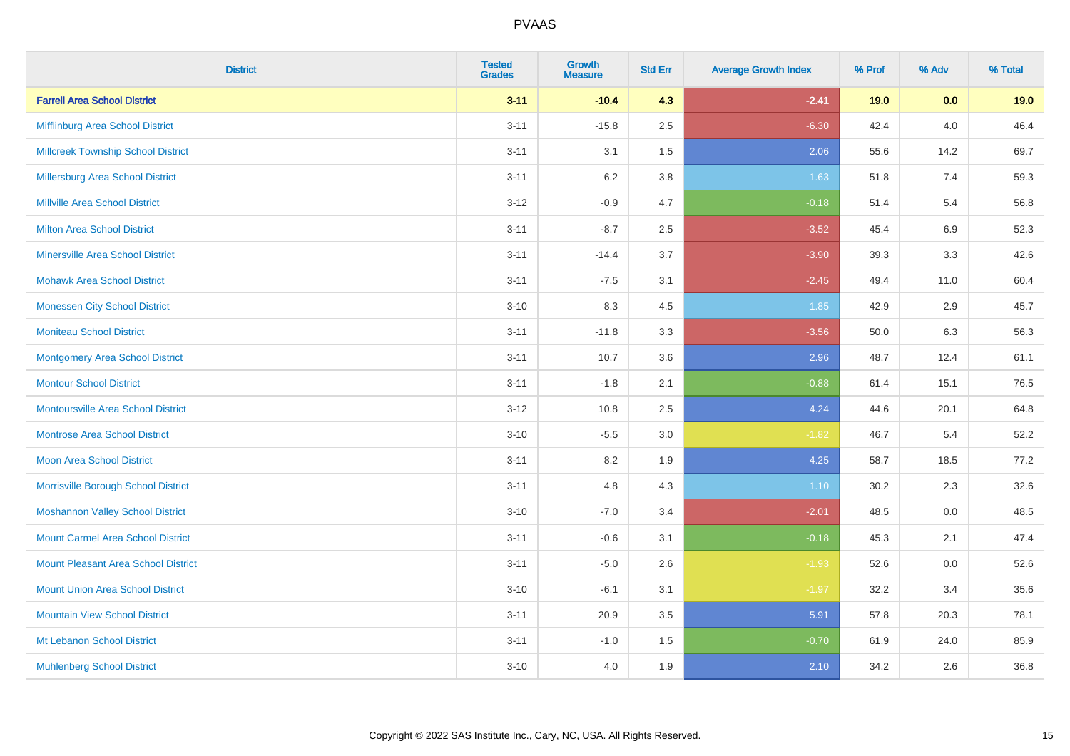| <b>District</b>                            | <b>Tested</b><br><b>Grades</b> | Growth<br><b>Measure</b> | <b>Std Err</b> | <b>Average Growth Index</b> | % Prof | % Adv   | % Total |
|--------------------------------------------|--------------------------------|--------------------------|----------------|-----------------------------|--------|---------|---------|
| <b>Farrell Area School District</b>        | $3 - 11$                       | $-10.4$                  | 4.3            | $-2.41$                     | 19.0   | 0.0     | 19.0    |
| Mifflinburg Area School District           | $3 - 11$                       | $-15.8$                  | 2.5            | $-6.30$                     | 42.4   | $4.0\,$ | 46.4    |
| <b>Millcreek Township School District</b>  | $3 - 11$                       | 3.1                      | 1.5            | 2.06                        | 55.6   | 14.2    | 69.7    |
| Millersburg Area School District           | $3 - 11$                       | $6.2\,$                  | 3.8            | 1.63                        | 51.8   | 7.4     | 59.3    |
| Millville Area School District             | $3 - 12$                       | $-0.9$                   | 4.7            | $-0.18$                     | 51.4   | 5.4     | 56.8    |
| <b>Milton Area School District</b>         | $3 - 11$                       | $-8.7$                   | 2.5            | $-3.52$                     | 45.4   | 6.9     | 52.3    |
| <b>Minersville Area School District</b>    | $3 - 11$                       | $-14.4$                  | 3.7            | $-3.90$                     | 39.3   | 3.3     | 42.6    |
| <b>Mohawk Area School District</b>         | $3 - 11$                       | $-7.5$                   | 3.1            | $-2.45$                     | 49.4   | 11.0    | 60.4    |
| <b>Monessen City School District</b>       | $3 - 10$                       | 8.3                      | 4.5            | 1.85                        | 42.9   | 2.9     | 45.7    |
| <b>Moniteau School District</b>            | $3 - 11$                       | $-11.8$                  | 3.3            | $-3.56$                     | 50.0   | 6.3     | 56.3    |
| <b>Montgomery Area School District</b>     | $3 - 11$                       | 10.7                     | 3.6            | 2.96                        | 48.7   | 12.4    | 61.1    |
| <b>Montour School District</b>             | $3 - 11$                       | $-1.8$                   | 2.1            | $-0.88$                     | 61.4   | 15.1    | 76.5    |
| <b>Montoursville Area School District</b>  | $3 - 12$                       | 10.8                     | 2.5            | 4.24                        | 44.6   | 20.1    | 64.8    |
| Montrose Area School District              | $3 - 10$                       | $-5.5$                   | 3.0            | $-1.82$                     | 46.7   | 5.4     | 52.2    |
| <b>Moon Area School District</b>           | $3 - 11$                       | 8.2                      | 1.9            | 4.25                        | 58.7   | 18.5    | 77.2    |
| Morrisville Borough School District        | $3 - 11$                       | 4.8                      | 4.3            | 1.10                        | 30.2   | 2.3     | 32.6    |
| <b>Moshannon Valley School District</b>    | $3 - 10$                       | $-7.0$                   | 3.4            | $-2.01$                     | 48.5   | 0.0     | 48.5    |
| <b>Mount Carmel Area School District</b>   | $3 - 11$                       | $-0.6$                   | 3.1            | $-0.18$                     | 45.3   | 2.1     | 47.4    |
| <b>Mount Pleasant Area School District</b> | $3 - 11$                       | $-5.0$                   | 2.6            | $-1.93$                     | 52.6   | $0.0\,$ | 52.6    |
| <b>Mount Union Area School District</b>    | $3 - 10$                       | $-6.1$                   | 3.1            | $-1.97$                     | 32.2   | 3.4     | 35.6    |
| <b>Mountain View School District</b>       | $3 - 11$                       | 20.9                     | 3.5            | 5.91                        | 57.8   | 20.3    | 78.1    |
| Mt Lebanon School District                 | $3 - 11$                       | $-1.0$                   | 1.5            | $-0.70$                     | 61.9   | 24.0    | 85.9    |
| <b>Muhlenberg School District</b>          | $3 - 10$                       | 4.0                      | 1.9            | 2.10                        | 34.2   | 2.6     | 36.8    |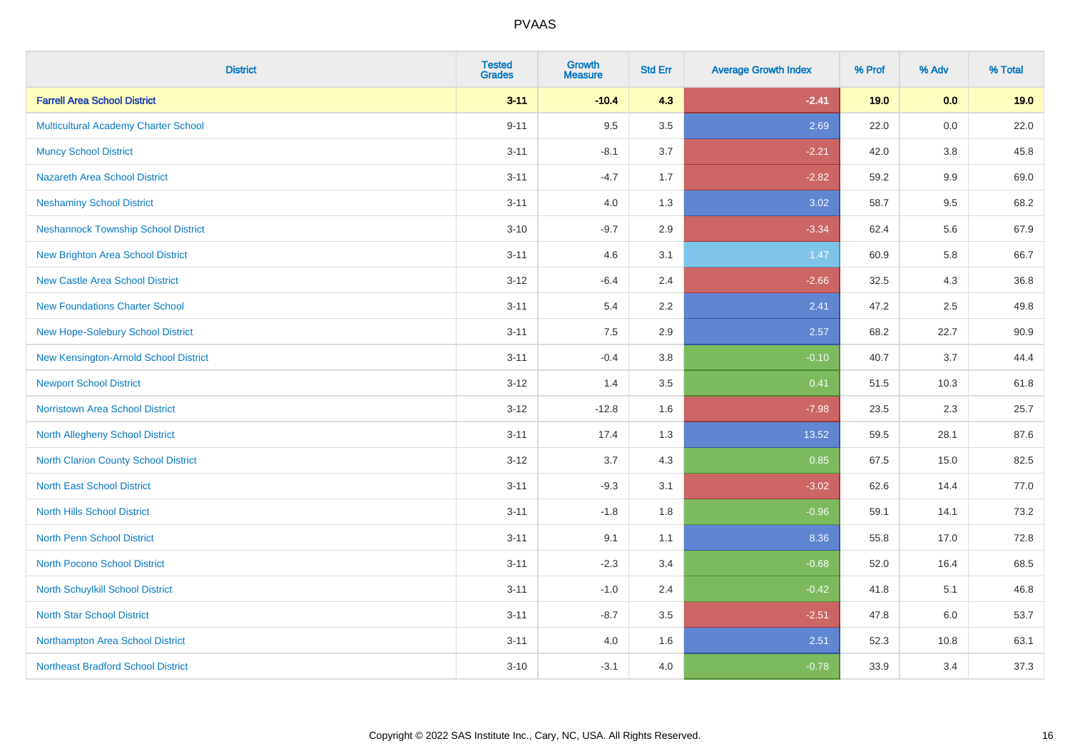| <b>District</b>                            | <b>Tested</b><br><b>Grades</b> | Growth<br><b>Measure</b> | <b>Std Err</b> | <b>Average Growth Index</b> | % Prof | % Adv | % Total |
|--------------------------------------------|--------------------------------|--------------------------|----------------|-----------------------------|--------|-------|---------|
| <b>Farrell Area School District</b>        | $3 - 11$                       | $-10.4$                  | 4.3            | $-2.41$                     | 19.0   | 0.0   | 19.0    |
| Multicultural Academy Charter School       | $9 - 11$                       | 9.5                      | 3.5            | 2.69                        | 22.0   | 0.0   | 22.0    |
| <b>Muncy School District</b>               | $3 - 11$                       | $-8.1$                   | 3.7            | $-2.21$                     | 42.0   | 3.8   | 45.8    |
| <b>Nazareth Area School District</b>       | $3 - 11$                       | $-4.7$                   | 1.7            | $-2.82$                     | 59.2   | 9.9   | 69.0    |
| <b>Neshaminy School District</b>           | $3 - 11$                       | 4.0                      | 1.3            | 3.02                        | 58.7   | 9.5   | 68.2    |
| <b>Neshannock Township School District</b> | $3 - 10$                       | $-9.7$                   | 2.9            | $-3.34$                     | 62.4   | 5.6   | 67.9    |
| <b>New Brighton Area School District</b>   | $3 - 11$                       | 4.6                      | 3.1            | 1.47                        | 60.9   | 5.8   | 66.7    |
| <b>New Castle Area School District</b>     | $3 - 12$                       | $-6.4$                   | 2.4            | $-2.66$                     | 32.5   | 4.3   | 36.8    |
| <b>New Foundations Charter School</b>      | $3 - 11$                       | 5.4                      | 2.2            | 2.41                        | 47.2   | 2.5   | 49.8    |
| New Hope-Solebury School District          | $3 - 11$                       | 7.5                      | 2.9            | 2.57                        | 68.2   | 22.7  | 90.9    |
| New Kensington-Arnold School District      | $3 - 11$                       | $-0.4$                   | 3.8            | $-0.10$                     | 40.7   | 3.7   | 44.4    |
| <b>Newport School District</b>             | $3 - 12$                       | 1.4                      | 3.5            | 0.41                        | 51.5   | 10.3  | 61.8    |
| <b>Norristown Area School District</b>     | $3 - 12$                       | $-12.8$                  | 1.6            | $-7.98$                     | 23.5   | 2.3   | 25.7    |
| North Allegheny School District            | $3 - 11$                       | 17.4                     | 1.3            | 13.52                       | 59.5   | 28.1  | 87.6    |
| North Clarion County School District       | $3 - 12$                       | 3.7                      | 4.3            | 0.85                        | 67.5   | 15.0  | 82.5    |
| <b>North East School District</b>          | $3 - 11$                       | $-9.3$                   | 3.1            | $-3.02$                     | 62.6   | 14.4  | 77.0    |
| <b>North Hills School District</b>         | $3 - 11$                       | $-1.8$                   | 1.8            | $-0.96$                     | 59.1   | 14.1  | 73.2    |
| <b>North Penn School District</b>          | $3 - 11$                       | 9.1                      | 1.1            | 8.36                        | 55.8   | 17.0  | 72.8    |
| North Pocono School District               | $3 - 11$                       | $-2.3$                   | 3.4            | $-0.68$                     | 52.0   | 16.4  | 68.5    |
| North Schuylkill School District           | $3 - 11$                       | $-1.0$                   | 2.4            | $-0.42$                     | 41.8   | 5.1   | 46.8    |
| <b>North Star School District</b>          | $3 - 11$                       | $-8.7$                   | 3.5            | $-2.51$                     | 47.8   | 6.0   | 53.7    |
| Northampton Area School District           | $3 - 11$                       | 4.0                      | 1.6            | 2.51                        | 52.3   | 10.8  | 63.1    |
| <b>Northeast Bradford School District</b>  | $3 - 10$                       | $-3.1$                   | 4.0            | $-0.78$                     | 33.9   | 3.4   | 37.3    |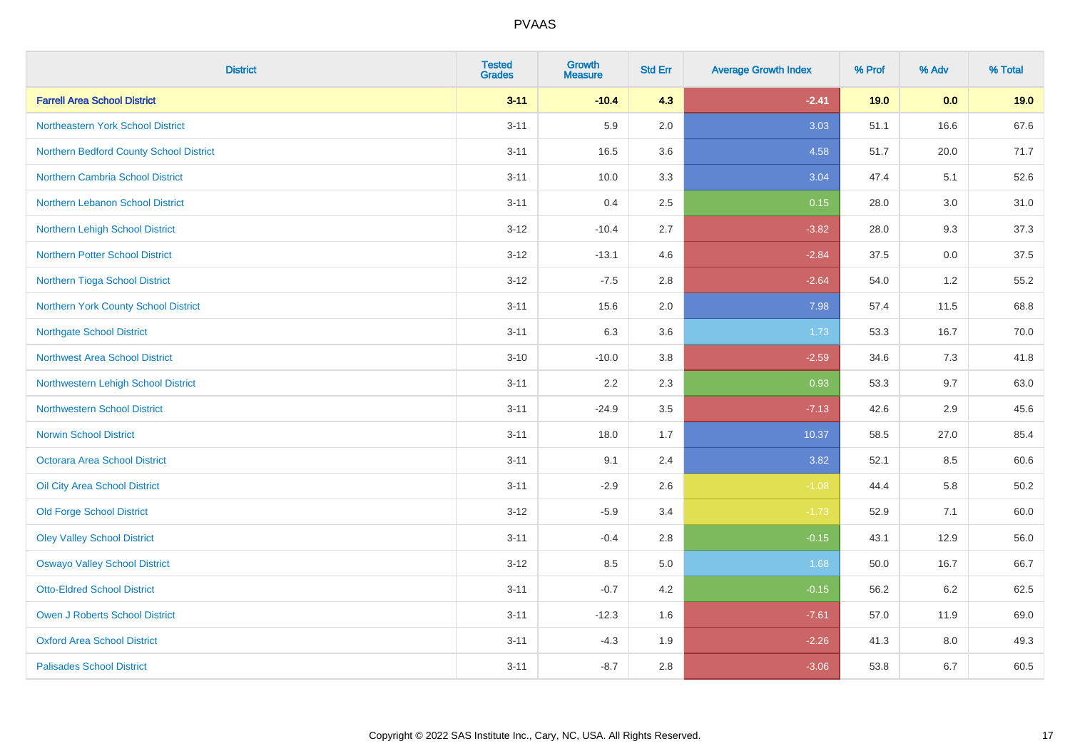| <b>District</b>                         | <b>Tested</b><br><b>Grades</b> | <b>Growth</b><br><b>Measure</b> | <b>Std Err</b> | <b>Average Growth Index</b> | % Prof | % Adv | % Total  |
|-----------------------------------------|--------------------------------|---------------------------------|----------------|-----------------------------|--------|-------|----------|
| <b>Farrell Area School District</b>     | $3 - 11$                       | $-10.4$                         | 4.3            | $-2.41$                     | 19.0   | 0.0   | 19.0     |
| Northeastern York School District       | $3 - 11$                       | 5.9                             | 2.0            | 3.03                        | 51.1   | 16.6  | 67.6     |
| Northern Bedford County School District | $3 - 11$                       | 16.5                            | 3.6            | 4.58                        | 51.7   | 20.0  | 71.7     |
| <b>Northern Cambria School District</b> | $3 - 11$                       | 10.0                            | 3.3            | 3.04                        | 47.4   | 5.1   | 52.6     |
| Northern Lebanon School District        | $3 - 11$                       | 0.4                             | 2.5            | 0.15                        | 28.0   | 3.0   | 31.0     |
| Northern Lehigh School District         | $3 - 12$                       | $-10.4$                         | 2.7            | $-3.82$                     | 28.0   | 9.3   | 37.3     |
| <b>Northern Potter School District</b>  | $3 - 12$                       | $-13.1$                         | 4.6            | $-2.84$                     | 37.5   | 0.0   | 37.5     |
| Northern Tioga School District          | $3 - 12$                       | $-7.5$                          | 2.8            | $-2.64$                     | 54.0   | 1.2   | 55.2     |
| Northern York County School District    | $3 - 11$                       | 15.6                            | 2.0            | 7.98                        | 57.4   | 11.5  | 68.8     |
| <b>Northgate School District</b>        | $3 - 11$                       | 6.3                             | 3.6            | 1.73                        | 53.3   | 16.7  | 70.0     |
| <b>Northwest Area School District</b>   | $3 - 10$                       | $-10.0$                         | $3.8\,$        | $-2.59$                     | 34.6   | 7.3   | 41.8     |
| Northwestern Lehigh School District     | $3 - 11$                       | 2.2                             | 2.3            | 0.93                        | 53.3   | 9.7   | 63.0     |
| <b>Northwestern School District</b>     | $3 - 11$                       | $-24.9$                         | 3.5            | $-7.13$                     | 42.6   | 2.9   | 45.6     |
| <b>Norwin School District</b>           | $3 - 11$                       | 18.0                            | 1.7            | 10.37                       | 58.5   | 27.0  | 85.4     |
| Octorara Area School District           | $3 - 11$                       | 9.1                             | 2.4            | 3.82                        | 52.1   | 8.5   | 60.6     |
| Oil City Area School District           | $3 - 11$                       | $-2.9$                          | 2.6            | $-1.08$                     | 44.4   | 5.8   | $50.2\,$ |
| <b>Old Forge School District</b>        | $3 - 12$                       | $-5.9$                          | 3.4            | $-1.73$                     | 52.9   | 7.1   | 60.0     |
| <b>Oley Valley School District</b>      | $3 - 11$                       | $-0.4$                          | 2.8            | $-0.15$                     | 43.1   | 12.9  | 56.0     |
| <b>Oswayo Valley School District</b>    | $3 - 12$                       | 8.5                             | $5.0\,$        | 1.68                        | 50.0   | 16.7  | 66.7     |
| <b>Otto-Eldred School District</b>      | $3 - 11$                       | $-0.7$                          | 4.2            | $-0.15$                     | 56.2   | 6.2   | 62.5     |
| <b>Owen J Roberts School District</b>   | $3 - 11$                       | $-12.3$                         | 1.6            | $-7.61$                     | 57.0   | 11.9  | 69.0     |
| <b>Oxford Area School District</b>      | $3 - 11$                       | $-4.3$                          | 1.9            | $-2.26$                     | 41.3   | 8.0   | 49.3     |
| <b>Palisades School District</b>        | $3 - 11$                       | $-8.7$                          | 2.8            | $-3.06$                     | 53.8   | 6.7   | 60.5     |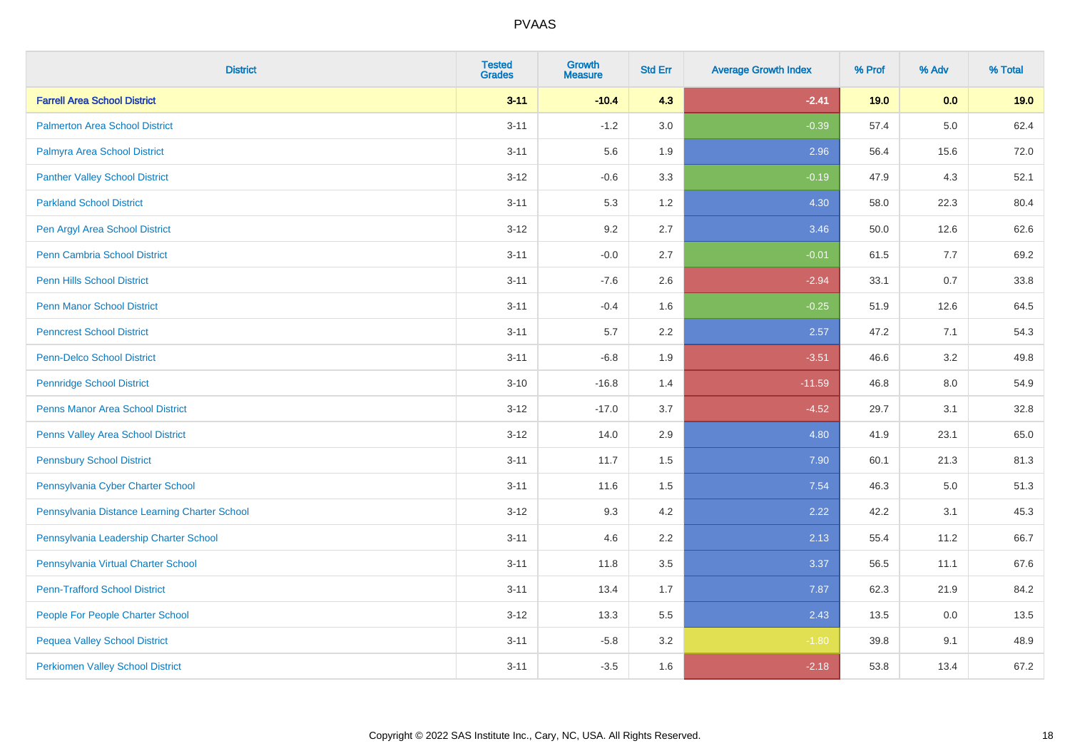| <b>District</b>                               | <b>Tested</b><br><b>Grades</b> | Growth<br><b>Measure</b> | <b>Std Err</b> | <b>Average Growth Index</b> | % Prof | % Adv | % Total |
|-----------------------------------------------|--------------------------------|--------------------------|----------------|-----------------------------|--------|-------|---------|
| <b>Farrell Area School District</b>           | $3 - 11$                       | $-10.4$                  | 4.3            | $-2.41$                     | 19.0   | 0.0   | 19.0    |
| <b>Palmerton Area School District</b>         | $3 - 11$                       | $-1.2$                   | 3.0            | $-0.39$                     | 57.4   | 5.0   | 62.4    |
| Palmyra Area School District                  | $3 - 11$                       | 5.6                      | 1.9            | 2.96                        | 56.4   | 15.6  | 72.0    |
| <b>Panther Valley School District</b>         | $3 - 12$                       | $-0.6$                   | 3.3            | $-0.19$                     | 47.9   | 4.3   | 52.1    |
| <b>Parkland School District</b>               | $3 - 11$                       | 5.3                      | 1.2            | 4.30                        | 58.0   | 22.3  | 80.4    |
| Pen Argyl Area School District                | $3 - 12$                       | 9.2                      | 2.7            | 3.46                        | 50.0   | 12.6  | 62.6    |
| Penn Cambria School District                  | $3 - 11$                       | $-0.0$                   | 2.7            | $-0.01$                     | 61.5   | 7.7   | 69.2    |
| <b>Penn Hills School District</b>             | $3 - 11$                       | $-7.6$                   | 2.6            | $-2.94$                     | 33.1   | 0.7   | 33.8    |
| <b>Penn Manor School District</b>             | $3 - 11$                       | $-0.4$                   | 1.6            | $-0.25$                     | 51.9   | 12.6  | 64.5    |
| <b>Penncrest School District</b>              | $3 - 11$                       | 5.7                      | 2.2            | 2.57                        | 47.2   | 7.1   | 54.3    |
| <b>Penn-Delco School District</b>             | $3 - 11$                       | $-6.8$                   | 1.9            | $-3.51$                     | 46.6   | 3.2   | 49.8    |
| <b>Pennridge School District</b>              | $3 - 10$                       | $-16.8$                  | 1.4            | $-11.59$                    | 46.8   | 8.0   | 54.9    |
| Penns Manor Area School District              | $3 - 12$                       | $-17.0$                  | 3.7            | $-4.52$                     | 29.7   | 3.1   | 32.8    |
| Penns Valley Area School District             | $3 - 12$                       | 14.0                     | 2.9            | 4.80                        | 41.9   | 23.1  | 65.0    |
| <b>Pennsbury School District</b>              | $3 - 11$                       | 11.7                     | 1.5            | 7.90                        | 60.1   | 21.3  | 81.3    |
| Pennsylvania Cyber Charter School             | $3 - 11$                       | 11.6                     | 1.5            | 7.54                        | 46.3   | 5.0   | 51.3    |
| Pennsylvania Distance Learning Charter School | $3 - 12$                       | 9.3                      | 4.2            | 2.22                        | 42.2   | 3.1   | 45.3    |
| Pennsylvania Leadership Charter School        | $3 - 11$                       | 4.6                      | 2.2            | 2.13                        | 55.4   | 11.2  | 66.7    |
| Pennsylvania Virtual Charter School           | $3 - 11$                       | 11.8                     | 3.5            | 3.37                        | 56.5   | 11.1  | 67.6    |
| <b>Penn-Trafford School District</b>          | $3 - 11$                       | 13.4                     | 1.7            | 7.87                        | 62.3   | 21.9  | 84.2    |
| People For People Charter School              | $3 - 12$                       | 13.3                     | 5.5            | 2.43                        | 13.5   | 0.0   | 13.5    |
| <b>Pequea Valley School District</b>          | $3 - 11$                       | $-5.8$                   | 3.2            | $-1.80$                     | 39.8   | 9.1   | 48.9    |
| <b>Perkiomen Valley School District</b>       | $3 - 11$                       | $-3.5$                   | 1.6            | $-2.18$                     | 53.8   | 13.4  | 67.2    |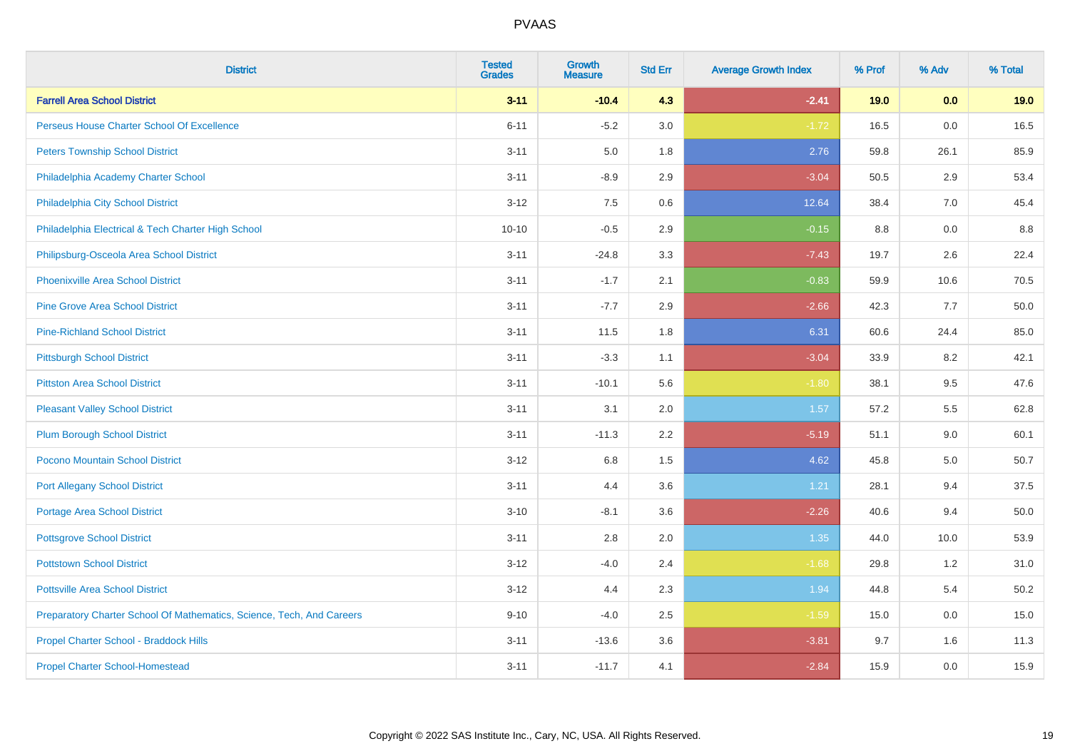| <b>District</b>                                                       | <b>Tested</b><br><b>Grades</b> | <b>Growth</b><br><b>Measure</b> | <b>Std Err</b> | <b>Average Growth Index</b> | % Prof | % Adv | % Total |
|-----------------------------------------------------------------------|--------------------------------|---------------------------------|----------------|-----------------------------|--------|-------|---------|
| <b>Farrell Area School District</b>                                   | $3 - 11$                       | $-10.4$                         | 4.3            | $-2.41$                     | 19.0   | 0.0   | 19.0    |
| Perseus House Charter School Of Excellence                            | $6 - 11$                       | $-5.2$                          | 3.0            | $-1.72$                     | 16.5   | 0.0   | 16.5    |
| <b>Peters Township School District</b>                                | $3 - 11$                       | 5.0                             | 1.8            | 2.76                        | 59.8   | 26.1  | 85.9    |
| Philadelphia Academy Charter School                                   | $3 - 11$                       | $-8.9$                          | 2.9            | $-3.04$                     | 50.5   | 2.9   | 53.4    |
| Philadelphia City School District                                     | $3 - 12$                       | 7.5                             | 0.6            | 12.64                       | 38.4   | 7.0   | 45.4    |
| Philadelphia Electrical & Tech Charter High School                    | $10 - 10$                      | $-0.5$                          | 2.9            | $-0.15$                     | 8.8    | 0.0   | 8.8     |
| Philipsburg-Osceola Area School District                              | $3 - 11$                       | $-24.8$                         | 3.3            | $-7.43$                     | 19.7   | 2.6   | 22.4    |
| <b>Phoenixville Area School District</b>                              | $3 - 11$                       | $-1.7$                          | 2.1            | $-0.83$                     | 59.9   | 10.6  | 70.5    |
| <b>Pine Grove Area School District</b>                                | $3 - 11$                       | $-7.7$                          | 2.9            | $-2.66$                     | 42.3   | 7.7   | 50.0    |
| <b>Pine-Richland School District</b>                                  | $3 - 11$                       | 11.5                            | 1.8            | 6.31                        | 60.6   | 24.4  | 85.0    |
| <b>Pittsburgh School District</b>                                     | $3 - 11$                       | $-3.3$                          | 1.1            | $-3.04$                     | 33.9   | 8.2   | 42.1    |
| <b>Pittston Area School District</b>                                  | $3 - 11$                       | $-10.1$                         | 5.6            | $-1.80$                     | 38.1   | 9.5   | 47.6    |
| <b>Pleasant Valley School District</b>                                | $3 - 11$                       | 3.1                             | 2.0            | 1.57                        | 57.2   | 5.5   | 62.8    |
| <b>Plum Borough School District</b>                                   | $3 - 11$                       | $-11.3$                         | 2.2            | $-5.19$                     | 51.1   | 9.0   | 60.1    |
| Pocono Mountain School District                                       | $3 - 12$                       | $6.8\,$                         | 1.5            | 4.62                        | 45.8   | 5.0   | 50.7    |
| <b>Port Allegany School District</b>                                  | $3 - 11$                       | 4.4                             | 3.6            | 1.21                        | 28.1   | 9.4   | 37.5    |
| <b>Portage Area School District</b>                                   | $3 - 10$                       | $-8.1$                          | 3.6            | $-2.26$                     | 40.6   | 9.4   | 50.0    |
| <b>Pottsgrove School District</b>                                     | $3 - 11$                       | 2.8                             | 2.0            | 1.35                        | 44.0   | 10.0  | 53.9    |
| <b>Pottstown School District</b>                                      | $3 - 12$                       | $-4.0$                          | 2.4            | $-1.68$                     | 29.8   | 1.2   | 31.0    |
| <b>Pottsville Area School District</b>                                | $3 - 12$                       | 4.4                             | 2.3            | 1.94                        | 44.8   | 5.4   | 50.2    |
| Preparatory Charter School Of Mathematics, Science, Tech, And Careers | $9 - 10$                       | $-4.0$                          | 2.5            | $-1.59$                     | 15.0   | 0.0   | 15.0    |
| Propel Charter School - Braddock Hills                                | $3 - 11$                       | $-13.6$                         | 3.6            | $-3.81$                     | 9.7    | 1.6   | 11.3    |
| <b>Propel Charter School-Homestead</b>                                | $3 - 11$                       | $-11.7$                         | 4.1            | $-2.84$                     | 15.9   | 0.0   | 15.9    |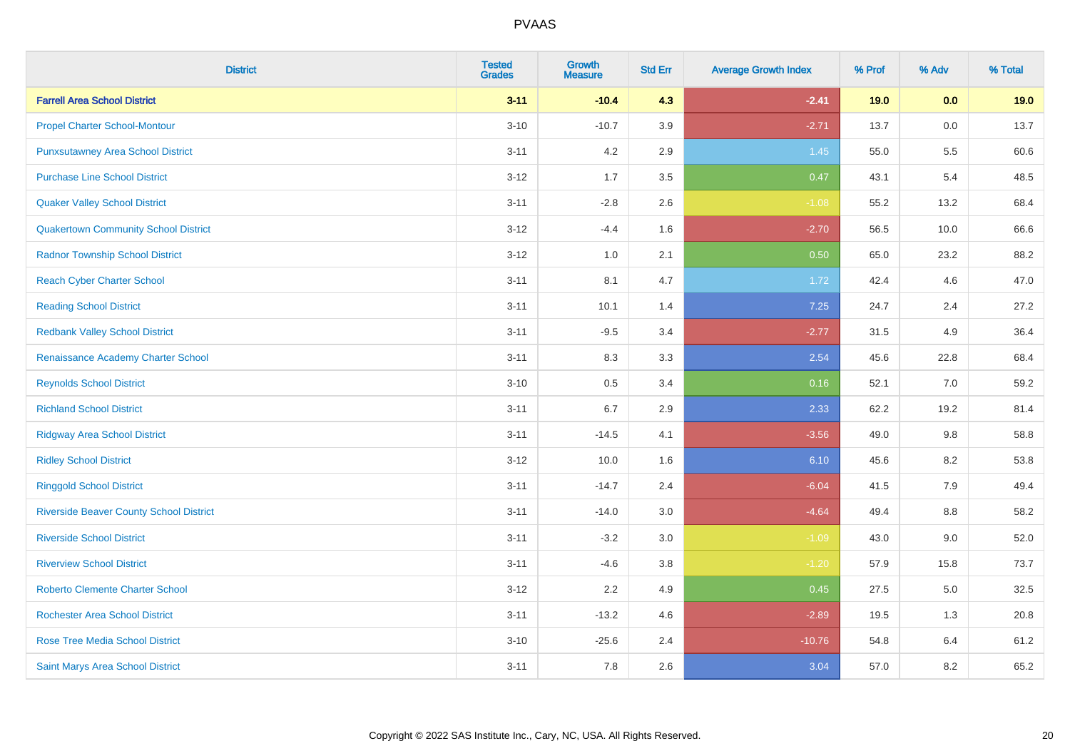| <b>District</b>                                | <b>Tested</b><br><b>Grades</b> | <b>Growth</b><br><b>Measure</b> | <b>Std Err</b> | <b>Average Growth Index</b> | % Prof | % Adv | % Total |
|------------------------------------------------|--------------------------------|---------------------------------|----------------|-----------------------------|--------|-------|---------|
| <b>Farrell Area School District</b>            | $3 - 11$                       | $-10.4$                         | 4.3            | $-2.41$                     | 19.0   | 0.0   | 19.0    |
| <b>Propel Charter School-Montour</b>           | $3 - 10$                       | $-10.7$                         | 3.9            | $-2.71$                     | 13.7   | 0.0   | 13.7    |
| <b>Punxsutawney Area School District</b>       | $3 - 11$                       | 4.2                             | 2.9            | 1.45                        | 55.0   | 5.5   | 60.6    |
| <b>Purchase Line School District</b>           | $3 - 12$                       | 1.7                             | 3.5            | 0.47                        | 43.1   | 5.4   | 48.5    |
| <b>Quaker Valley School District</b>           | $3 - 11$                       | $-2.8$                          | 2.6            | $-1.08$                     | 55.2   | 13.2  | 68.4    |
| <b>Quakertown Community School District</b>    | $3 - 12$                       | $-4.4$                          | 1.6            | $-2.70$                     | 56.5   | 10.0  | 66.6    |
| <b>Radnor Township School District</b>         | $3 - 12$                       | $1.0\,$                         | 2.1            | 0.50                        | 65.0   | 23.2  | 88.2    |
| <b>Reach Cyber Charter School</b>              | $3 - 11$                       | 8.1                             | 4.7            | 1.72                        | 42.4   | 4.6   | 47.0    |
| <b>Reading School District</b>                 | $3 - 11$                       | 10.1                            | 1.4            | 7.25                        | 24.7   | 2.4   | 27.2    |
| <b>Redbank Valley School District</b>          | $3 - 11$                       | $-9.5$                          | 3.4            | $-2.77$                     | 31.5   | 4.9   | 36.4    |
| Renaissance Academy Charter School             | $3 - 11$                       | 8.3                             | 3.3            | 2.54                        | 45.6   | 22.8  | 68.4    |
| <b>Reynolds School District</b>                | $3 - 10$                       | 0.5                             | 3.4            | 0.16                        | 52.1   | 7.0   | 59.2    |
| <b>Richland School District</b>                | $3 - 11$                       | 6.7                             | 2.9            | 2.33                        | 62.2   | 19.2  | 81.4    |
| <b>Ridgway Area School District</b>            | $3 - 11$                       | $-14.5$                         | 4.1            | $-3.56$                     | 49.0   | 9.8   | 58.8    |
| <b>Ridley School District</b>                  | $3 - 12$                       | 10.0                            | 1.6            | 6.10                        | 45.6   | 8.2   | 53.8    |
| <b>Ringgold School District</b>                | $3 - 11$                       | $-14.7$                         | 2.4            | $-6.04$                     | 41.5   | 7.9   | 49.4    |
| <b>Riverside Beaver County School District</b> | $3 - 11$                       | $-14.0$                         | 3.0            | $-4.64$                     | 49.4   | 8.8   | 58.2    |
| <b>Riverside School District</b>               | $3 - 11$                       | $-3.2$                          | 3.0            | $-1.09$                     | 43.0   | 9.0   | 52.0    |
| <b>Riverview School District</b>               | $3 - 11$                       | $-4.6$                          | 3.8            | $-1.20$                     | 57.9   | 15.8  | 73.7    |
| <b>Roberto Clemente Charter School</b>         | $3 - 12$                       | 2.2                             | 4.9            | 0.45                        | 27.5   | 5.0   | 32.5    |
| <b>Rochester Area School District</b>          | $3 - 11$                       | $-13.2$                         | 4.6            | $-2.89$                     | 19.5   | 1.3   | 20.8    |
| <b>Rose Tree Media School District</b>         | $3 - 10$                       | $-25.6$                         | 2.4            | $-10.76$                    | 54.8   | 6.4   | 61.2    |
| Saint Marys Area School District               | $3 - 11$                       | 7.8                             | 2.6            | 3.04                        | 57.0   | 8.2   | 65.2    |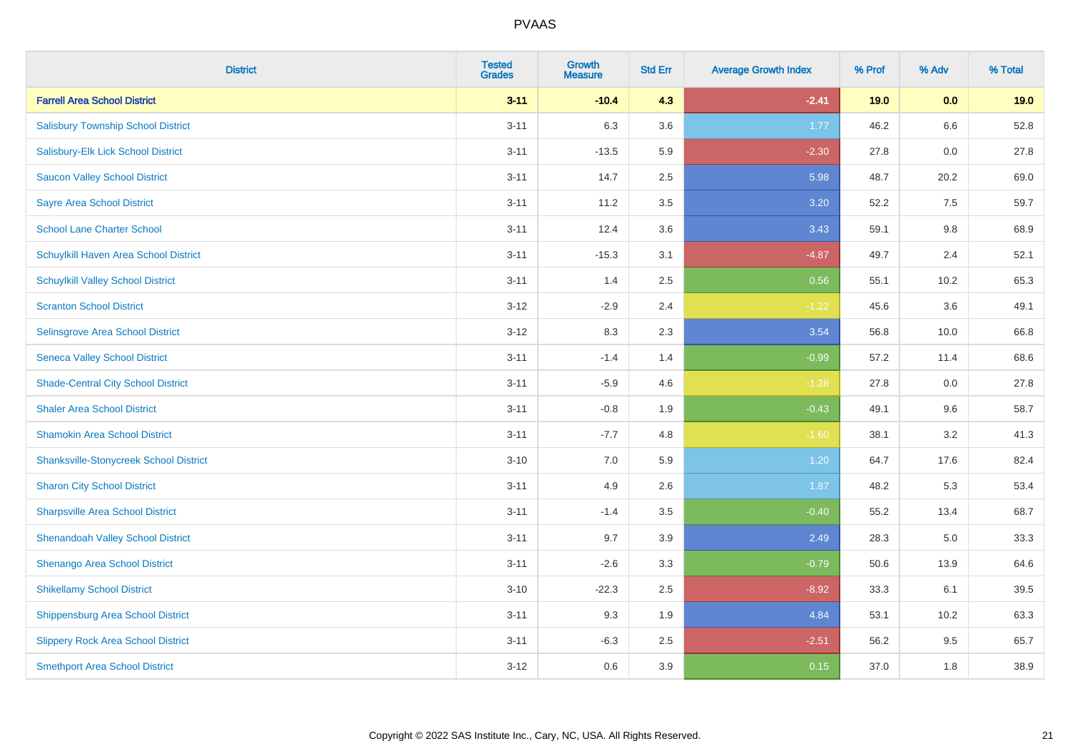| <b>District</b>                               | <b>Tested</b><br><b>Grades</b> | <b>Growth</b><br><b>Measure</b> | <b>Std Err</b> | <b>Average Growth Index</b> | % Prof | % Adv   | % Total |
|-----------------------------------------------|--------------------------------|---------------------------------|----------------|-----------------------------|--------|---------|---------|
| <b>Farrell Area School District</b>           | $3 - 11$                       | $-10.4$                         | 4.3            | $-2.41$                     | 19.0   | 0.0     | 19.0    |
| <b>Salisbury Township School District</b>     | $3 - 11$                       | 6.3                             | 3.6            | 1.77                        | 46.2   | $6.6\,$ | 52.8    |
| Salisbury-Elk Lick School District            | $3 - 11$                       | $-13.5$                         | 5.9            | $-2.30$                     | 27.8   | 0.0     | 27.8    |
| <b>Saucon Valley School District</b>          | $3 - 11$                       | 14.7                            | 2.5            | 5.98                        | 48.7   | 20.2    | 69.0    |
| <b>Sayre Area School District</b>             | $3 - 11$                       | 11.2                            | 3.5            | 3.20                        | 52.2   | 7.5     | 59.7    |
| <b>School Lane Charter School</b>             | $3 - 11$                       | 12.4                            | 3.6            | 3.43                        | 59.1   | 9.8     | 68.9    |
| Schuylkill Haven Area School District         | $3 - 11$                       | $-15.3$                         | 3.1            | $-4.87$                     | 49.7   | 2.4     | 52.1    |
| <b>Schuylkill Valley School District</b>      | $3 - 11$                       | 1.4                             | 2.5            | 0.56                        | 55.1   | 10.2    | 65.3    |
| <b>Scranton School District</b>               | $3 - 12$                       | $-2.9$                          | 2.4            | $-1.22$                     | 45.6   | 3.6     | 49.1    |
| <b>Selinsgrove Area School District</b>       | $3 - 12$                       | 8.3                             | 2.3            | 3.54                        | 56.8   | 10.0    | 66.8    |
| <b>Seneca Valley School District</b>          | $3 - 11$                       | $-1.4$                          | 1.4            | $-0.99$                     | 57.2   | 11.4    | 68.6    |
| <b>Shade-Central City School District</b>     | $3 - 11$                       | $-5.9$                          | 4.6            | $-1.28$                     | 27.8   | 0.0     | 27.8    |
| <b>Shaler Area School District</b>            | $3 - 11$                       | $-0.8$                          | 1.9            | $-0.43$                     | 49.1   | 9.6     | 58.7    |
| <b>Shamokin Area School District</b>          | $3 - 11$                       | $-7.7$                          | 4.8            | $-1.60$                     | 38.1   | 3.2     | 41.3    |
| <b>Shanksville-Stonycreek School District</b> | $3 - 10$                       | 7.0                             | 5.9            | 1.20                        | 64.7   | 17.6    | 82.4    |
| <b>Sharon City School District</b>            | $3 - 11$                       | 4.9                             | 2.6            | 1.87                        | 48.2   | 5.3     | 53.4    |
| <b>Sharpsville Area School District</b>       | $3 - 11$                       | $-1.4$                          | 3.5            | $-0.40$                     | 55.2   | 13.4    | 68.7    |
| <b>Shenandoah Valley School District</b>      | $3 - 11$                       | 9.7                             | 3.9            | 2.49                        | 28.3   | 5.0     | 33.3    |
| Shenango Area School District                 | $3 - 11$                       | $-2.6$                          | 3.3            | $-0.79$                     | 50.6   | 13.9    | 64.6    |
| <b>Shikellamy School District</b>             | $3 - 10$                       | $-22.3$                         | 2.5            | $-8.92$                     | 33.3   | 6.1     | 39.5    |
| <b>Shippensburg Area School District</b>      | $3 - 11$                       | 9.3                             | 1.9            | 4.84                        | 53.1   | 10.2    | 63.3    |
| <b>Slippery Rock Area School District</b>     | $3 - 11$                       | $-6.3$                          | 2.5            | $-2.51$                     | 56.2   | 9.5     | 65.7    |
| <b>Smethport Area School District</b>         | $3 - 12$                       | 0.6                             | 3.9            | 0.15                        | 37.0   | 1.8     | 38.9    |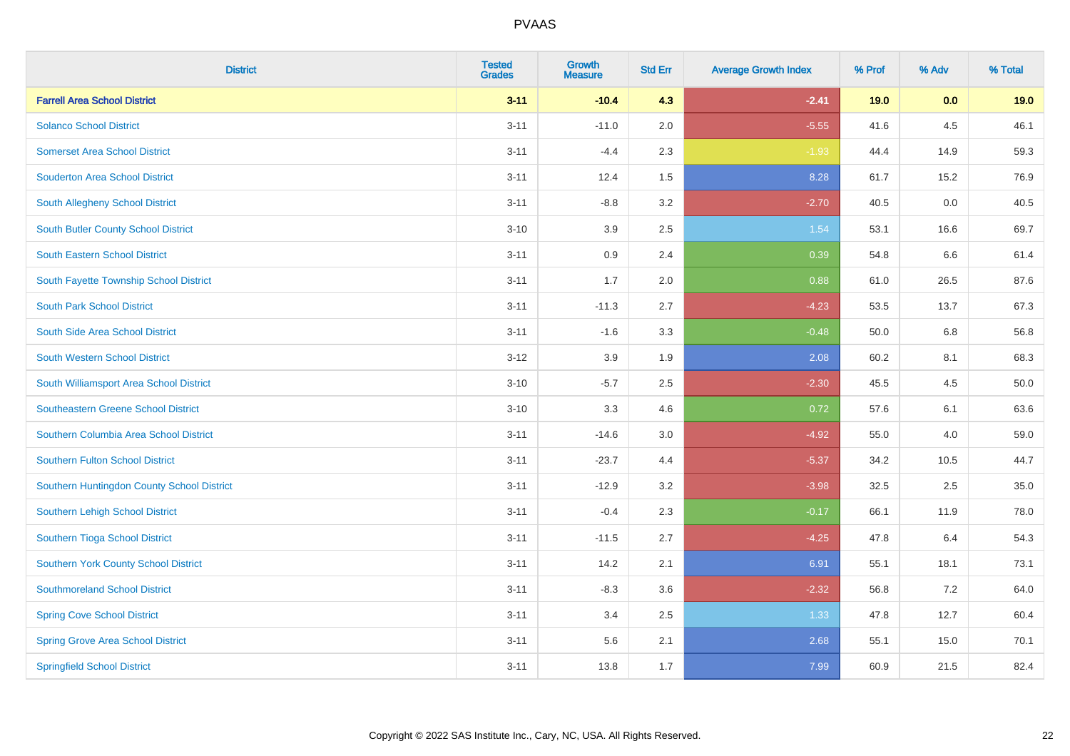| <b>District</b>                            | <b>Tested</b><br><b>Grades</b> | <b>Growth</b><br><b>Measure</b> | <b>Std Err</b> | <b>Average Growth Index</b> | % Prof | % Adv | % Total |
|--------------------------------------------|--------------------------------|---------------------------------|----------------|-----------------------------|--------|-------|---------|
| <b>Farrell Area School District</b>        | $3 - 11$                       | $-10.4$                         | 4.3            | $-2.41$                     | 19.0   | 0.0   | 19.0    |
| <b>Solanco School District</b>             | $3 - 11$                       | $-11.0$                         | 2.0            | $-5.55$                     | 41.6   | 4.5   | 46.1    |
| <b>Somerset Area School District</b>       | $3 - 11$                       | $-4.4$                          | 2.3            | $-1.93$                     | 44.4   | 14.9  | 59.3    |
| <b>Souderton Area School District</b>      | $3 - 11$                       | 12.4                            | 1.5            | 8.28                        | 61.7   | 15.2  | 76.9    |
| South Allegheny School District            | $3 - 11$                       | $-8.8$                          | 3.2            | $-2.70$                     | 40.5   | 0.0   | 40.5    |
| South Butler County School District        | $3 - 10$                       | 3.9                             | 2.5            | 1.54                        | 53.1   | 16.6  | 69.7    |
| South Eastern School District              | $3 - 11$                       | 0.9                             | 2.4            | 0.39                        | 54.8   | 6.6   | 61.4    |
| South Fayette Township School District     | $3 - 11$                       | 1.7                             | 2.0            | 0.88                        | 61.0   | 26.5  | 87.6    |
| <b>South Park School District</b>          | $3 - 11$                       | $-11.3$                         | 2.7            | $-4.23$                     | 53.5   | 13.7  | 67.3    |
| South Side Area School District            | $3 - 11$                       | $-1.6$                          | 3.3            | $-0.48$                     | 50.0   | 6.8   | 56.8    |
| South Western School District              | $3 - 12$                       | 3.9                             | 1.9            | 2.08                        | 60.2   | 8.1   | 68.3    |
| South Williamsport Area School District    | $3 - 10$                       | $-5.7$                          | 2.5            | $-2.30$                     | 45.5   | 4.5   | 50.0    |
| Southeastern Greene School District        | $3 - 10$                       | 3.3                             | 4.6            | 0.72                        | 57.6   | 6.1   | 63.6    |
| Southern Columbia Area School District     | $3 - 11$                       | $-14.6$                         | 3.0            | $-4.92$                     | 55.0   | 4.0   | 59.0    |
| <b>Southern Fulton School District</b>     | $3 - 11$                       | $-23.7$                         | 4.4            | $-5.37$                     | 34.2   | 10.5  | 44.7    |
| Southern Huntingdon County School District | $3 - 11$                       | $-12.9$                         | 3.2            | $-3.98$                     | 32.5   | 2.5   | 35.0    |
| Southern Lehigh School District            | $3 - 11$                       | $-0.4$                          | 2.3            | $-0.17$                     | 66.1   | 11.9  | 78.0    |
| Southern Tioga School District             | $3 - 11$                       | $-11.5$                         | 2.7            | $-4.25$                     | 47.8   | 6.4   | 54.3    |
| Southern York County School District       | $3 - 11$                       | 14.2                            | 2.1            | 6.91                        | 55.1   | 18.1  | 73.1    |
| <b>Southmoreland School District</b>       | $3 - 11$                       | $-8.3$                          | 3.6            | $-2.32$                     | 56.8   | 7.2   | 64.0    |
| <b>Spring Cove School District</b>         | $3 - 11$                       | 3.4                             | 2.5            | 1.33                        | 47.8   | 12.7  | 60.4    |
| <b>Spring Grove Area School District</b>   | $3 - 11$                       | 5.6                             | 2.1            | 2.68                        | 55.1   | 15.0  | 70.1    |
| <b>Springfield School District</b>         | $3 - 11$                       | 13.8                            | 1.7            | 7.99                        | 60.9   | 21.5  | 82.4    |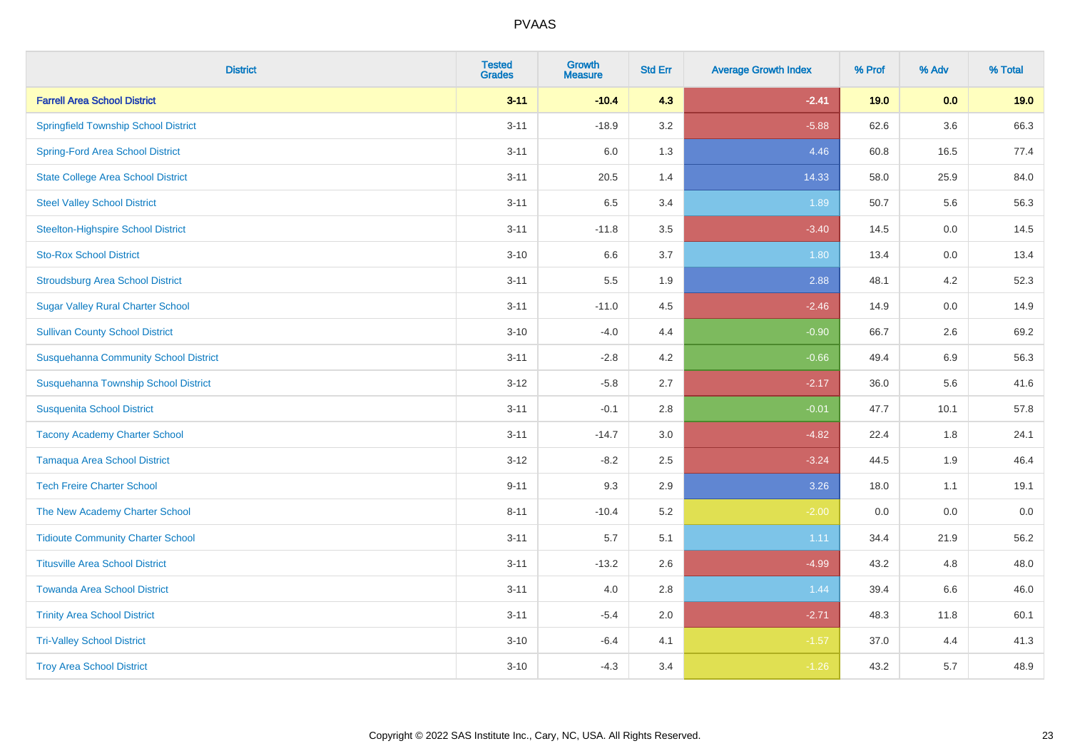| <b>District</b>                              | <b>Tested</b><br><b>Grades</b> | <b>Growth</b><br><b>Measure</b> | <b>Std Err</b> | <b>Average Growth Index</b> | % Prof | % Adv   | % Total |
|----------------------------------------------|--------------------------------|---------------------------------|----------------|-----------------------------|--------|---------|---------|
| <b>Farrell Area School District</b>          | $3 - 11$                       | $-10.4$                         | 4.3            | $-2.41$                     | 19.0   | 0.0     | 19.0    |
| <b>Springfield Township School District</b>  | $3 - 11$                       | $-18.9$                         | 3.2            | $-5.88$                     | 62.6   | $3.6\,$ | 66.3    |
| <b>Spring-Ford Area School District</b>      | $3 - 11$                       | 6.0                             | 1.3            | 4.46                        | 60.8   | 16.5    | 77.4    |
| <b>State College Area School District</b>    | $3 - 11$                       | 20.5                            | 1.4            | 14.33                       | 58.0   | 25.9    | 84.0    |
| <b>Steel Valley School District</b>          | $3 - 11$                       | 6.5                             | 3.4            | 1.89                        | 50.7   | 5.6     | 56.3    |
| <b>Steelton-Highspire School District</b>    | $3 - 11$                       | $-11.8$                         | 3.5            | $-3.40$                     | 14.5   | 0.0     | 14.5    |
| <b>Sto-Rox School District</b>               | $3 - 10$                       | 6.6                             | 3.7            | 1.80                        | 13.4   | 0.0     | 13.4    |
| <b>Stroudsburg Area School District</b>      | $3 - 11$                       | 5.5                             | 1.9            | 2.88                        | 48.1   | 4.2     | 52.3    |
| <b>Sugar Valley Rural Charter School</b>     | $3 - 11$                       | $-11.0$                         | 4.5            | $-2.46$                     | 14.9   | 0.0     | 14.9    |
| <b>Sullivan County School District</b>       | $3 - 10$                       | $-4.0$                          | 4.4            | $-0.90$                     | 66.7   | $2.6\,$ | 69.2    |
| <b>Susquehanna Community School District</b> | $3 - 11$                       | $-2.8$                          | 4.2            | $-0.66$                     | 49.4   | 6.9     | 56.3    |
| Susquehanna Township School District         | $3 - 12$                       | $-5.8$                          | 2.7            | $-2.17$                     | 36.0   | 5.6     | 41.6    |
| <b>Susquenita School District</b>            | $3 - 11$                       | $-0.1$                          | 2.8            | $-0.01$                     | 47.7   | 10.1    | 57.8    |
| <b>Tacony Academy Charter School</b>         | $3 - 11$                       | $-14.7$                         | 3.0            | $-4.82$                     | 22.4   | 1.8     | 24.1    |
| <b>Tamaqua Area School District</b>          | $3 - 12$                       | $-8.2$                          | 2.5            | $-3.24$                     | 44.5   | 1.9     | 46.4    |
| <b>Tech Freire Charter School</b>            | $9 - 11$                       | 9.3                             | 2.9            | 3.26                        | 18.0   | 1.1     | 19.1    |
| The New Academy Charter School               | $8 - 11$                       | $-10.4$                         | 5.2            | $-2.00$                     | 0.0    | 0.0     | $0.0\,$ |
| <b>Tidioute Community Charter School</b>     | $3 - 11$                       | 5.7                             | 5.1            | 1.11                        | 34.4   | 21.9    | 56.2    |
| <b>Titusville Area School District</b>       | $3 - 11$                       | $-13.2$                         | 2.6            | $-4.99$                     | 43.2   | 4.8     | 48.0    |
| <b>Towanda Area School District</b>          | $3 - 11$                       | 4.0                             | 2.8            | 1.44                        | 39.4   | 6.6     | 46.0    |
| <b>Trinity Area School District</b>          | $3 - 11$                       | $-5.4$                          | 2.0            | $-2.71$                     | 48.3   | 11.8    | 60.1    |
| <b>Tri-Valley School District</b>            | $3 - 10$                       | $-6.4$                          | 4.1            | $-1.57$                     | 37.0   | 4.4     | 41.3    |
| <b>Troy Area School District</b>             | $3 - 10$                       | $-4.3$                          | 3.4            | $-1.26$                     | 43.2   | 5.7     | 48.9    |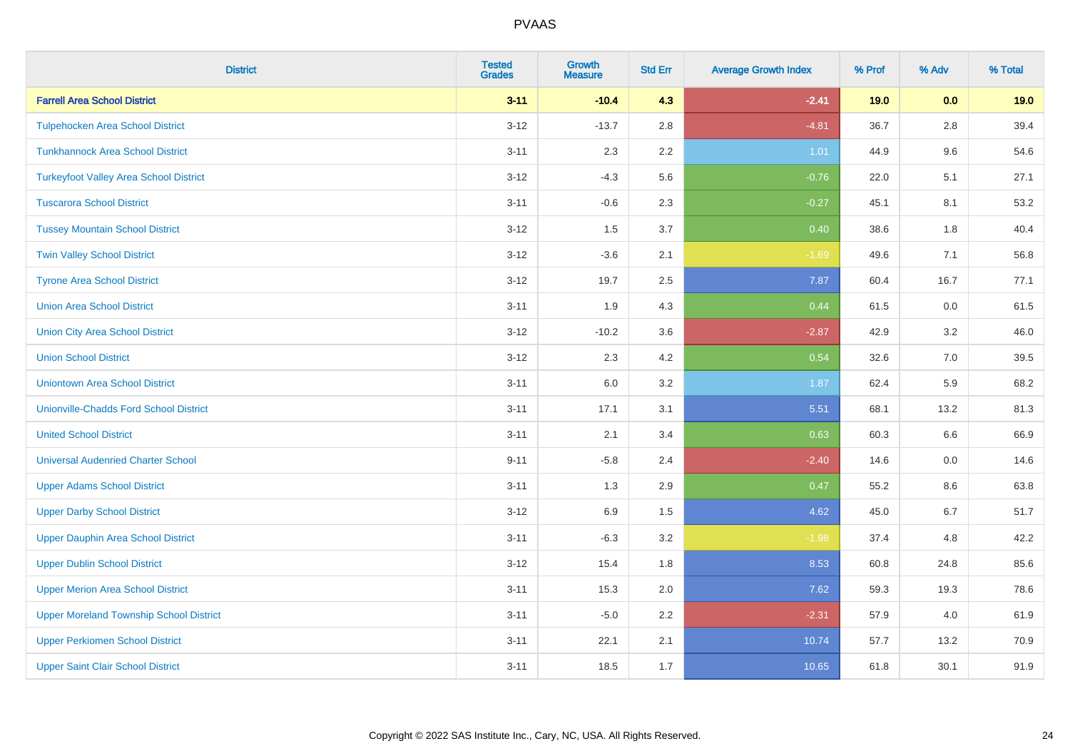| <b>District</b>                                | <b>Tested</b><br><b>Grades</b> | Growth<br><b>Measure</b> | <b>Std Err</b> | <b>Average Growth Index</b> | % Prof | % Adv   | % Total |
|------------------------------------------------|--------------------------------|--------------------------|----------------|-----------------------------|--------|---------|---------|
| <b>Farrell Area School District</b>            | $3 - 11$                       | $-10.4$                  | 4.3            | $-2.41$                     | 19.0   | 0.0     | 19.0    |
| <b>Tulpehocken Area School District</b>        | $3 - 12$                       | $-13.7$                  | 2.8            | $-4.81$                     | 36.7   | 2.8     | 39.4    |
| <b>Tunkhannock Area School District</b>        | $3 - 11$                       | 2.3                      | 2.2            | 1.01                        | 44.9   | 9.6     | 54.6    |
| <b>Turkeyfoot Valley Area School District</b>  | $3 - 12$                       | $-4.3$                   | 5.6            | $-0.76$                     | 22.0   | 5.1     | 27.1    |
| <b>Tuscarora School District</b>               | $3 - 11$                       | $-0.6$                   | 2.3            | $-0.27$                     | 45.1   | 8.1     | 53.2    |
| <b>Tussey Mountain School District</b>         | $3 - 12$                       | 1.5                      | 3.7            | 0.40                        | 38.6   | 1.8     | 40.4    |
| <b>Twin Valley School District</b>             | $3 - 12$                       | $-3.6$                   | 2.1            | $-1.69$                     | 49.6   | 7.1     | 56.8    |
| <b>Tyrone Area School District</b>             | $3 - 12$                       | 19.7                     | 2.5            | 7.87                        | 60.4   | 16.7    | 77.1    |
| <b>Union Area School District</b>              | $3 - 11$                       | 1.9                      | 4.3            | 0.44                        | 61.5   | 0.0     | 61.5    |
| <b>Union City Area School District</b>         | $3 - 12$                       | $-10.2$                  | 3.6            | $-2.87$                     | 42.9   | 3.2     | 46.0    |
| <b>Union School District</b>                   | $3 - 12$                       | 2.3                      | 4.2            | 0.54                        | 32.6   | 7.0     | 39.5    |
| <b>Uniontown Area School District</b>          | $3 - 11$                       | 6.0                      | 3.2            | 1.87                        | 62.4   | 5.9     | 68.2    |
| <b>Unionville-Chadds Ford School District</b>  | $3 - 11$                       | 17.1                     | 3.1            | 5.51                        | 68.1   | 13.2    | 81.3    |
| <b>United School District</b>                  | $3 - 11$                       | 2.1                      | 3.4            | 0.63                        | 60.3   | 6.6     | 66.9    |
| <b>Universal Audenried Charter School</b>      | $9 - 11$                       | $-5.8$                   | 2.4            | $-2.40$                     | 14.6   | 0.0     | 14.6    |
| <b>Upper Adams School District</b>             | $3 - 11$                       | 1.3                      | 2.9            | 0.47                        | 55.2   | $8.6\,$ | 63.8    |
| <b>Upper Darby School District</b>             | $3 - 12$                       | 6.9                      | 1.5            | 4.62                        | 45.0   | 6.7     | 51.7    |
| <b>Upper Dauphin Area School District</b>      | $3 - 11$                       | $-6.3$                   | 3.2            | $-1.98$                     | 37.4   | 4.8     | 42.2    |
| <b>Upper Dublin School District</b>            | $3 - 12$                       | 15.4                     | 1.8            | 8.53                        | 60.8   | 24.8    | 85.6    |
| <b>Upper Merion Area School District</b>       | $3 - 11$                       | 15.3                     | 2.0            | 7.62                        | 59.3   | 19.3    | 78.6    |
| <b>Upper Moreland Township School District</b> | $3 - 11$                       | $-5.0$                   | 2.2            | $-2.31$                     | 57.9   | 4.0     | 61.9    |
| <b>Upper Perkiomen School District</b>         | $3 - 11$                       | 22.1                     | 2.1            | 10.74                       | 57.7   | 13.2    | 70.9    |
| <b>Upper Saint Clair School District</b>       | $3 - 11$                       | 18.5                     | 1.7            | 10.65                       | 61.8   | 30.1    | 91.9    |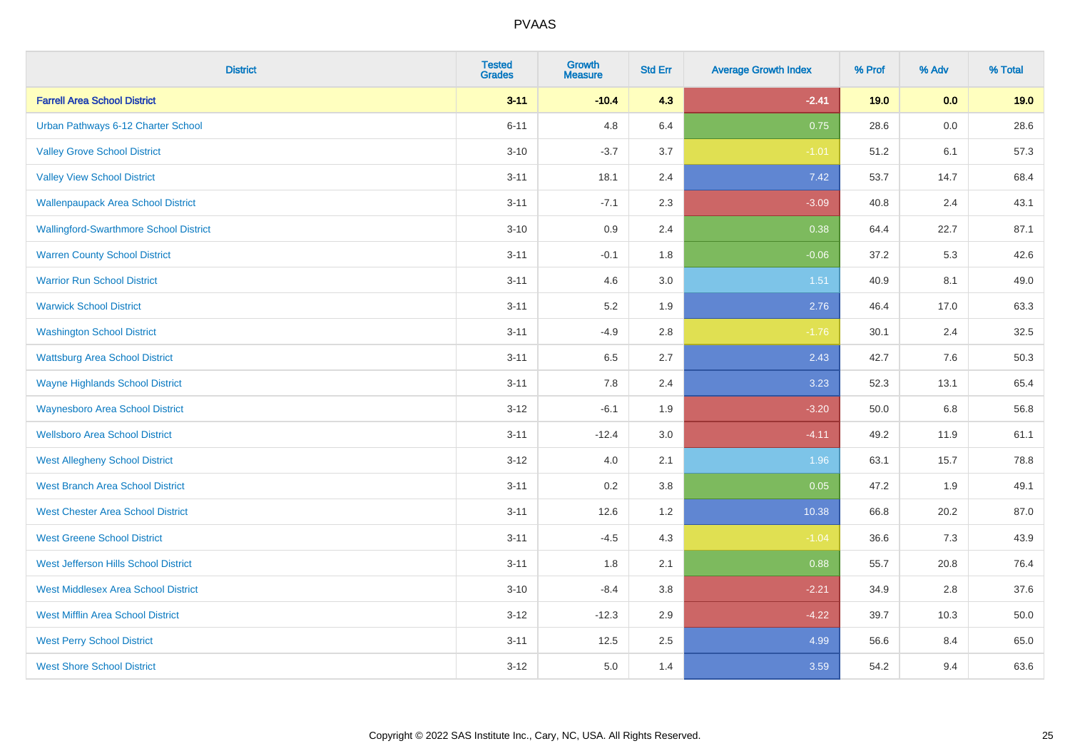| <b>District</b>                               | <b>Tested</b><br><b>Grades</b> | <b>Growth</b><br><b>Measure</b> | <b>Std Err</b> | <b>Average Growth Index</b> | % Prof | % Adv | % Total |
|-----------------------------------------------|--------------------------------|---------------------------------|----------------|-----------------------------|--------|-------|---------|
| <b>Farrell Area School District</b>           | $3 - 11$                       | $-10.4$                         | 4.3            | $-2.41$                     | 19.0   | 0.0   | 19.0    |
| Urban Pathways 6-12 Charter School            | $6 - 11$                       | 4.8                             | 6.4            | 0.75                        | 28.6   | 0.0   | 28.6    |
| <b>Valley Grove School District</b>           | $3 - 10$                       | $-3.7$                          | 3.7            | $-1.01$                     | 51.2   | 6.1   | 57.3    |
| <b>Valley View School District</b>            | $3 - 11$                       | 18.1                            | 2.4            | 7.42                        | 53.7   | 14.7  | 68.4    |
| <b>Wallenpaupack Area School District</b>     | $3 - 11$                       | $-7.1$                          | 2.3            | $-3.09$                     | 40.8   | 2.4   | 43.1    |
| <b>Wallingford-Swarthmore School District</b> | $3 - 10$                       | 0.9                             | 2.4            | 0.38                        | 64.4   | 22.7  | 87.1    |
| <b>Warren County School District</b>          | $3 - 11$                       | $-0.1$                          | 1.8            | $-0.06$                     | 37.2   | 5.3   | 42.6    |
| <b>Warrior Run School District</b>            | $3 - 11$                       | 4.6                             | 3.0            | 1.51                        | 40.9   | 8.1   | 49.0    |
| <b>Warwick School District</b>                | $3 - 11$                       | 5.2                             | 1.9            | 2.76                        | 46.4   | 17.0  | 63.3    |
| <b>Washington School District</b>             | $3 - 11$                       | $-4.9$                          | 2.8            | $-1.76$                     | 30.1   | 2.4   | 32.5    |
| <b>Wattsburg Area School District</b>         | $3 - 11$                       | 6.5                             | 2.7            | 2.43                        | 42.7   | 7.6   | 50.3    |
| <b>Wayne Highlands School District</b>        | $3 - 11$                       | 7.8                             | 2.4            | 3.23                        | 52.3   | 13.1  | 65.4    |
| <b>Waynesboro Area School District</b>        | $3 - 12$                       | $-6.1$                          | 1.9            | $-3.20$                     | 50.0   | 6.8   | 56.8    |
| <b>Wellsboro Area School District</b>         | $3 - 11$                       | $-12.4$                         | 3.0            | $-4.11$                     | 49.2   | 11.9  | 61.1    |
| <b>West Allegheny School District</b>         | $3 - 12$                       | 4.0                             | 2.1            | 1.96                        | 63.1   | 15.7  | 78.8    |
| <b>West Branch Area School District</b>       | $3 - 11$                       | 0.2                             | 3.8            | 0.05                        | 47.2   | 1.9   | 49.1    |
| <b>West Chester Area School District</b>      | $3 - 11$                       | 12.6                            | 1.2            | 10.38                       | 66.8   | 20.2  | 87.0    |
| <b>West Greene School District</b>            | $3 - 11$                       | $-4.5$                          | 4.3            | $-1.04$                     | 36.6   | 7.3   | 43.9    |
| West Jefferson Hills School District          | $3 - 11$                       | 1.8                             | 2.1            | 0.88                        | 55.7   | 20.8  | 76.4    |
| <b>West Middlesex Area School District</b>    | $3 - 10$                       | $-8.4$                          | 3.8            | $-2.21$                     | 34.9   | 2.8   | 37.6    |
| <b>West Mifflin Area School District</b>      | $3 - 12$                       | $-12.3$                         | 2.9            | $-4.22$                     | 39.7   | 10.3  | 50.0    |
| <b>West Perry School District</b>             | $3 - 11$                       | 12.5                            | 2.5            | 4.99                        | 56.6   | 8.4   | 65.0    |
| <b>West Shore School District</b>             | $3-12$                         | 5.0                             | 1.4            | 3.59                        | 54.2   | 9.4   | 63.6    |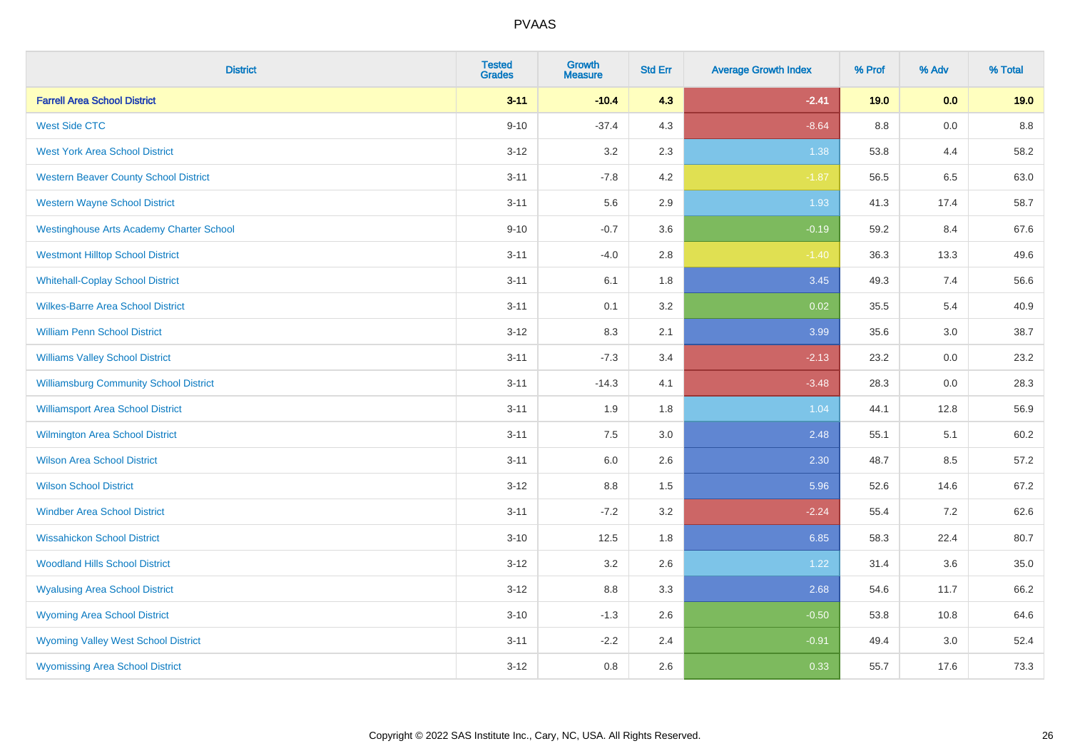| <b>District</b>                                 | <b>Tested</b><br><b>Grades</b> | <b>Growth</b><br><b>Measure</b> | <b>Std Err</b> | <b>Average Growth Index</b> | % Prof  | % Adv | % Total |
|-------------------------------------------------|--------------------------------|---------------------------------|----------------|-----------------------------|---------|-------|---------|
| <b>Farrell Area School District</b>             | $3 - 11$                       | $-10.4$                         | 4.3            | $-2.41$                     | 19.0    | 0.0   | 19.0    |
| <b>West Side CTC</b>                            | $9 - 10$                       | $-37.4$                         | 4.3            | $-8.64$                     | $8.8\,$ | 0.0   | $8.8\,$ |
| <b>West York Area School District</b>           | $3 - 12$                       | 3.2                             | 2.3            | 1.38                        | 53.8    | 4.4   | 58.2    |
| <b>Western Beaver County School District</b>    | $3 - 11$                       | $-7.8$                          | 4.2            | $-1.87$                     | 56.5    | 6.5   | 63.0    |
| <b>Western Wayne School District</b>            | $3 - 11$                       | 5.6                             | 2.9            | 1.93                        | 41.3    | 17.4  | 58.7    |
| <b>Westinghouse Arts Academy Charter School</b> | $9 - 10$                       | $-0.7$                          | 3.6            | $-0.19$                     | 59.2    | 8.4   | 67.6    |
| <b>Westmont Hilltop School District</b>         | $3 - 11$                       | $-4.0$                          | 2.8            | $-1.40$                     | 36.3    | 13.3  | 49.6    |
| <b>Whitehall-Coplay School District</b>         | $3 - 11$                       | 6.1                             | 1.8            | 3.45                        | 49.3    | 7.4   | 56.6    |
| <b>Wilkes-Barre Area School District</b>        | $3 - 11$                       | 0.1                             | 3.2            | 0.02                        | 35.5    | 5.4   | 40.9    |
| <b>William Penn School District</b>             | $3 - 12$                       | 8.3                             | 2.1            | 3.99                        | 35.6    | 3.0   | 38.7    |
| <b>Williams Valley School District</b>          | $3 - 11$                       | $-7.3$                          | 3.4            | $-2.13$                     | 23.2    | 0.0   | 23.2    |
| <b>Williamsburg Community School District</b>   | $3 - 11$                       | $-14.3$                         | 4.1            | $-3.48$                     | 28.3    | 0.0   | 28.3    |
| <b>Williamsport Area School District</b>        | $3 - 11$                       | 1.9                             | 1.8            | 1.04                        | 44.1    | 12.8  | 56.9    |
| <b>Wilmington Area School District</b>          | $3 - 11$                       | 7.5                             | 3.0            | 2.48                        | 55.1    | 5.1   | 60.2    |
| <b>Wilson Area School District</b>              | $3 - 11$                       | 6.0                             | 2.6            | 2.30                        | 48.7    | 8.5   | 57.2    |
| <b>Wilson School District</b>                   | $3 - 12$                       | 8.8                             | 1.5            | 5.96                        | 52.6    | 14.6  | 67.2    |
| <b>Windber Area School District</b>             | $3 - 11$                       | $-7.2$                          | 3.2            | $-2.24$                     | 55.4    | 7.2   | 62.6    |
| <b>Wissahickon School District</b>              | $3 - 10$                       | 12.5                            | 1.8            | 6.85                        | 58.3    | 22.4  | 80.7    |
| <b>Woodland Hills School District</b>           | $3 - 12$                       | 3.2                             | 2.6            | 1.22                        | 31.4    | 3.6   | 35.0    |
| <b>Wyalusing Area School District</b>           | $3 - 12$                       | $8.8\,$                         | 3.3            | 2.68                        | 54.6    | 11.7  | 66.2    |
| <b>Wyoming Area School District</b>             | $3 - 10$                       | $-1.3$                          | 2.6            | $-0.50$                     | 53.8    | 10.8  | 64.6    |
| <b>Wyoming Valley West School District</b>      | $3 - 11$                       | $-2.2$                          | 2.4            | $-0.91$                     | 49.4    | 3.0   | 52.4    |
| <b>Wyomissing Area School District</b>          | $3 - 12$                       | 0.8                             | 2.6            | 0.33                        | 55.7    | 17.6  | 73.3    |